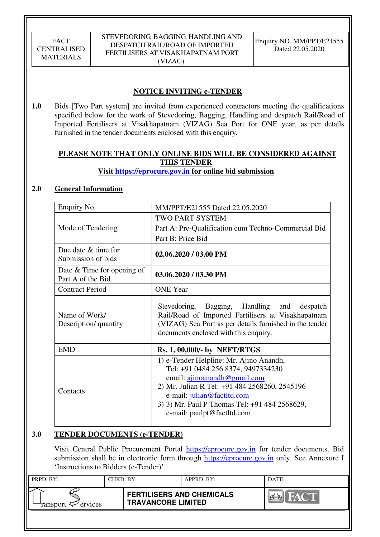# **NOTICE INVITING e-TENDER**

**1.0** Bids [Two Part system] are invited from experienced contractors meeting the qualifications specified below for the work of Stevedoring, Bagging, Handling and despatch Rail/Road of Imported Fertilisers at Visakhapatnam (VIZAG) Sea Port for ONE year, as per details furnished in the tender documents enclosed with this enquiry.

# **PLEASE NOTE THAT ONLY ONLINE BIDS WILL BE CONSIDERED AGAINST THIS TENDER**

## **Visit https://eprocure.gov.in for online bid submission**

# **2.0 General Information**

| Enquiry No.                                        | MM/PPT/E21555 Dated 22.05.2020                                                                                                                                                                                                                                              |
|----------------------------------------------------|-----------------------------------------------------------------------------------------------------------------------------------------------------------------------------------------------------------------------------------------------------------------------------|
| Mode of Tendering                                  | <b>TWO PART SYSTEM</b><br>Part A: Pre-Qualification cum Techno-Commercial Bid                                                                                                                                                                                               |
|                                                    | Part B: Price Bid                                                                                                                                                                                                                                                           |
| Due date $&$ time for<br>Submission of bids        | $02.06.2020 / 03.00$ PM                                                                                                                                                                                                                                                     |
| Date $&$ Time for opening of<br>Part A of the Bid. | 03.06.2020 / 03.30 PM                                                                                                                                                                                                                                                       |
| <b>Contract Period</b>                             | <b>ONE</b> Year                                                                                                                                                                                                                                                             |
| Name of Work/<br>Description/ quantity             | Stevedoring, Bagging, Handling and despatch<br>Rail/Road of Imported Fertilisers at Visakhapatnam<br>(VIZAG) Sea Port as per details furnished in the tender<br>documents enclosed with this enquiry.                                                                       |
| <b>EMD</b>                                         | <b>Rs. 1, 00,000/- by NEFT/RTGS</b>                                                                                                                                                                                                                                         |
| Contacts                                           | 1) e-Tender Helpline: Mr. Ajino Anandh,<br>Tel: +91 0484 256 8374, 9497334230<br>email: ajinoanandh@gmail.com<br>2) Mr. Julian R Tel: +91 484 2568260, 2545196<br>e-mail: julian@factltd.com<br>3) 3) Mr. Paul P Thomas Tel: +91 484 2568629,<br>e-mail: paulpt@factltd.com |

# **3.0 TENDER DOCUMENTS (e-TENDER)**

Visit Central Public Procurement Portal https://eprocure.gov.in for tender documents. Bid submission shall be in electronic form through https://eprocure.gov.in only. See Annexure I 'Instructions to Bidders (e-Tender)'.

| PRPD. BY:              | CHKD. BY: |                                                               | APPRD. BY: | DATE:               |
|------------------------|-----------|---------------------------------------------------------------|------------|---------------------|
| ransport $\ll$ ervices |           | <b>FERTILISERS AND CHEMICALS</b><br><b>TRAVANCORE LIMITED</b> |            | HAC'T<br><b>PER</b> |
|                        |           |                                                               |            |                     |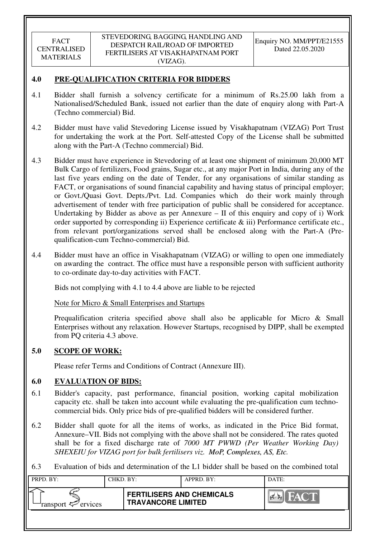## **4.0 PRE-QUALIFICATION CRITERIA FOR BIDDERS**

- 4.1 Bidder shall furnish a solvency certificate for a minimum of Rs.25.00 lakh from a Nationalised/Scheduled Bank, issued not earlier than the date of enquiry along with Part-A (Techno commercial) Bid.
- 4.2 Bidder must have valid Stevedoring License issued by Visakhapatnam (VIZAG) Port Trust for undertaking the work at the Port. Self-attested Copy of the License shall be submitted along with the Part-A (Techno commercial) Bid.
- 4.3 Bidder must have experience in Stevedoring of at least one shipment of minimum 20,000 MT Bulk Cargo of fertilizers, Food grains, Sugar etc., at any major Port in India, during any of the last five years ending on the date of Tender, for any organisations of similar standing as FACT, or organisations of sound financial capability and having status of principal employer; or Govt./Quasi Govt. Depts./Pvt. Ltd. Companies which do their work mainly through advertisement of tender with free participation of public shall be considered for acceptance. Undertaking by Bidder as above as per Annexure – II of this enquiry and copy of i) Work order supported by corresponding ii) Experience certificate & iii) Performance certificate etc., from relevant port/organizations served shall be enclosed along with the Part-A (Prequalification-cum Techno-commercial) Bid.
- 4.4 Bidder must have an office in Visakhapatnam (VIZAG) or willing to open one immediately on awarding the contract. The office must have a responsible person with sufficient authority to co-ordinate day-to-day activities with FACT.

Bids not complying with 4.1 to 4.4 above are liable to be rejected

Note for Micro & Small Enterprises and Startups

Prequalification criteria specified above shall also be applicable for Micro & Small Enterprises without any relaxation. However Startups, recognised by DIPP, shall be exempted from PQ criteria 4.3 above.

### **5.0 SCOPE OF WORK:**

Please refer Terms and Conditions of Contract (Annexure III).

### **6.0 EVALUATION OF BIDS:**

- 6.1 Bidder's capacity, past performance, financial position, working capital mobilization capacity etc. shall be taken into account while evaluating the pre-qualification cum technocommercial bids. Only price bids of pre-qualified bidders will be considered further.
- 6.2 Bidder shall quote for all the items of works, as indicated in the Price Bid format, Annexure–VII. Bids not complying with the above shall not be considered. The rates quoted shall be for a fixed discharge rate of *7000 MT PWWD (Per Weather Working Day) SHEXEIU for VIZAG port for bulk fertilisers viz. MoP, Complexes, AS, Etc.*
- 6.3 Evaluation of bids and determination of the L1 bidder shall be based on the combined total

| PRPD. BY:                 | CHKD. BY: |                                                               | APPRD. BY: | DATE:        |
|---------------------------|-----------|---------------------------------------------------------------|------------|--------------|
| ransport $\sharp$ ervices |           | <b>FERTILISERS AND CHEMICALS</b><br><b>TRAVANCORE LIMITED</b> |            | <b>AND P</b> |
|                           |           |                                                               |            |              |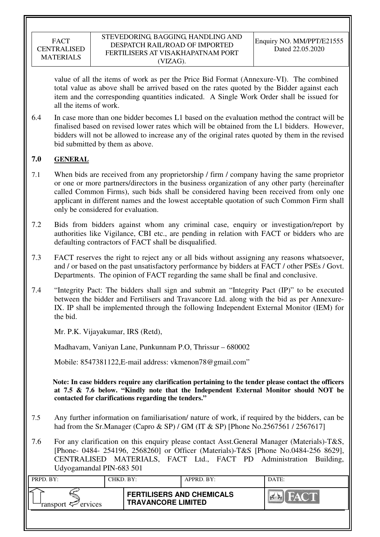value of all the items of work as per the Price Bid Format (Annexure-VI). The combined total value as above shall be arrived based on the rates quoted by the Bidder against each item and the corresponding quantities indicated. A Single Work Order shall be issued for all the items of work.

6.4 In case more than one bidder becomes L1 based on the evaluation method the contract will be finalised based on revised lower rates which will be obtained from the L1 bidders. However, bidders will not be allowed to increase any of the original rates quoted by them in the revised bid submitted by them as above.

## **7.0 GENERAL**

- 7.1 When bids are received from any proprietorship / firm / company having the same proprietor or one or more partners/directors in the business organization of any other party (hereinafter called Common Firms), such bids shall be considered having been received from only one applicant in different names and the lowest acceptable quotation of such Common Firm shall only be considered for evaluation.
- 7.2 Bids from bidders against whom any criminal case, enquiry or investigation/report by authorities like Vigilance, CBI etc., are pending in relation with FACT or bidders who are defaulting contractors of FACT shall be disqualified.
- 7.3 FACT reserves the right to reject any or all bids without assigning any reasons whatsoever, and / or based on the past unsatisfactory performance by bidders at FACT / other PSEs / Govt. Departments. The opinion of FACT regarding the same shall be final and conclusive.
- 7.4 "Integrity Pact: The bidders shall sign and submit an "Integrity Pact (IP)" to be executed between the bidder and Fertilisers and Travancore Ltd. along with the bid as per Annexure-IX. IP shall be implemented through the following Independent External Monitor (IEM) for the bid.

Mr. P.K. Vijayakumar, IRS (Retd),

Madhavam, Vaniyan Lane, Punkunnam P.O, Thrissur – 680002

Mobile: 8547381122,E-mail address: vkmenon78@gmail.com"

 **Note: In case bidders require any clarification pertaining to the tender please contact the officers at 7.5 & 7.6 below. "Kindly note that the Independent External Monitor should NOT be contacted for clarifications regarding the tenders."**

- 7.5 Any further information on familiarisation/ nature of work, if required by the bidders, can be had from the Sr.Manager (Capro & SP) / GM (IT & SP) [Phone No.2567561 / 2567617]
- 7.6 For any clarification on this enquiry please contact Asst.General Manager (Materials)-T&S, [Phone- 0484- 254196, 2568260] or Officer (Materials)-T&S [Phone No.0484-256 8629], CENTRALISED MATERIALS, FACT Ltd., FACT PD Administration Building, Udyogamandal PIN-683 501

| PRPD. BY:              | CHKD. BY: |                                                               | APPRD. BY: | DATE:                   |
|------------------------|-----------|---------------------------------------------------------------|------------|-------------------------|
| ransport $\ll$ ervices |           | <b>FERTILISERS AND CHEMICALS</b><br><b>TRAVANCORE LIMITED</b> |            | $\sqrt{(\mathbf{u})^2}$ |
|                        |           |                                                               |            |                         |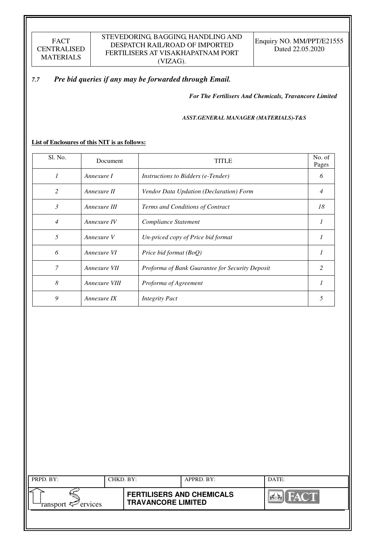## *7.7 Pre bid queries if any may be forwarded through Email.*

*For The Fertilisers And Chemicals, Travancore Limited* 

#### *ASST.GENERAL MANAGER (MATERIALS)-T&S*

**List of Enclosures of this NIT is as follows:** 

| Sl. No.        | Document      | <b>TITLE</b>                                    | No. of<br>Pages |
|----------------|---------------|-------------------------------------------------|-----------------|
| $\mathcal I$   | Annexure I    | <i>Instructions to Bidders (e-Tender)</i>       | 6               |
| 2              | Annexure II   | Vendor Data Updation (Declaration) Form         | 4               |
| $\mathfrak{Z}$ | Annexure III  | Terms and Conditions of Contract                | 18              |
| $\overline{4}$ | Annexure IV   | Compliance Statement                            |                 |
| 5              | Annexure V    | Un-priced copy of Price bid format              |                 |
| 6              | Annexure VI   | Price bid format (BoQ)                          |                 |
| 7              | Annexure VII  | Proforma of Bank Guarantee for Security Deposit | 2               |
| 8              | Annexure VIII | Proforma of Agreement                           |                 |
| 9              | Annexure IX   | <b>Integrity Pact</b>                           | 5               |

| PRPD. BY:                      | CHKD. BY: |                                                               | APPRD. BY: | DATE:                                    |
|--------------------------------|-----------|---------------------------------------------------------------|------------|------------------------------------------|
| ransport $\mathcal{P}$ ervices |           | <b>FERTILISERS AND CHEMICALS</b><br><b>TRAVANCORE LIMITED</b> |            | <b>THE YAY ON BE</b><br>$  \mathbf{v}  $ |
|                                |           |                                                               |            |                                          |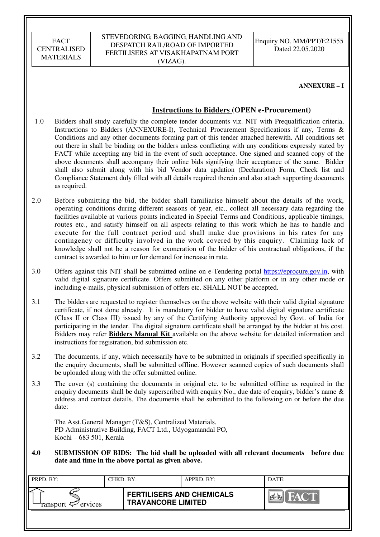| <b>FACT</b>        |
|--------------------|
| <b>CENTRALISED</b> |
| <b>MATERIALS</b>   |

Enquiry NO. MM/PPT/E21555 Dated 22.05.2020

### **ANNEXURE – I**

### **Instructions to Bidders (OPEN e-Procurement)**

- 1.0 Bidders shall study carefully the complete tender documents viz. NIT with Prequalification criteria, Instructions to Bidders (ANNEXURE-I), Technical Procurement Specifications if any, Terms & Conditions and any other documents forming part of this tender attached herewith. All conditions set out there in shall be binding on the bidders unless conflicting with any conditions expressly stated by FACT while accepting any bid in the event of such acceptance. One signed and scanned copy of the above documents shall accompany their online bids signifying their acceptance of the same. Bidder shall also submit along with his bid Vendor data updation (Declaration) Form, Check list and Compliance Statement duly filled with all details required therein and also attach supporting documents as required.
- 2.0 Before submitting the bid, the bidder shall familiarise himself about the details of the work, operating conditions during different seasons of year, etc., collect all necessary data regarding the facilities available at various points indicated in Special Terms and Conditions, applicable timings, routes etc., and satisfy himself on all aspects relating to this work which he has to handle and execute for the full contract period and shall make due provisions in his rates for any contingency or difficulty involved in the work covered by this enquiry. Claiming lack of knowledge shall not be a reason for exoneration of the bidder of his contractual obligations, if the contract is awarded to him or for demand for increase in rate.
- 3.0 Offers against this NIT shall be submitted online on e-Tendering portal https://eprocure.gov.in, with valid digital signature certificate. Offers submitted on any other platform or in any other mode or including e-mails, physical submission of offers etc. SHALL NOT be accepted.
- 3.1 The bidders are requested to register themselves on the above website with their valid digital signature certificate, if not done already. It is mandatory for bidder to have valid digital signature certificate (Class II or Class III) issued by any of the Certifying Authority approved by Govt. of India for participating in the tender. The digital signature certificate shall be arranged by the bidder at his cost. Bidders may refer **Bidders Manual Kit** available on the above website for detailed information and instructions for registration, bid submission etc.
- 3.2 The documents, if any, which necessarily have to be submitted in originals if specified specifically in the enquiry documents, shall be submitted offline. However scanned copies of such documents shall be uploaded along with the offer submitted online.
- 3.3 The cover (s) containing the documents in original etc. to be submitted offline as required in the enquiry documents shall be duly superscribed with enquiry No., due date of enquiry, bidder's name & address and contact details. The documents shall be submitted to the following on or before the due date:

The Asst.General Manager (T&S), Centralized Materials, PD Administrative Building, FACT Ltd., Udyogamandal PO, Kochi – 683 501, Kerala

**4.0 SUBMISSION OF BIDS: The bid shall be uploaded with all relevant documents before due date and time in the above portal as given above.** 

| PRPD. BY:                      | CHKD. BY: |                                                               | APPRD. BY: | DATE: |
|--------------------------------|-----------|---------------------------------------------------------------|------------|-------|
| ransport $\mathcal{P}$ ervices |           | <b>FERTILISERS AND CHEMICALS</b><br><b>TRAVANCORE LIMITED</b> |            | FACT. |
|                                |           |                                                               |            |       |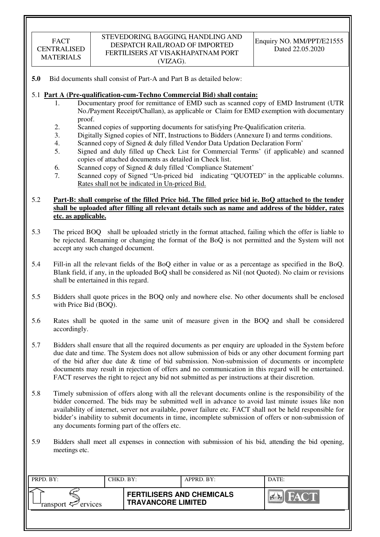**5.0** Bid documents shall consist of Part-A and Part B as detailed below:

### 5.1 **Part A (Pre-qualification-cum-Techno Commercial Bid) shall contain:**

- 1. Documentary proof for remittance of EMD such as scanned copy of EMD Instrument (UTR No./Payment Receipt/Challan), as applicable or Claim for EMD exemption with documentary proof.
- 2. Scanned copies of supporting documents for satisfying Pre-Qualification criteria.
- 3. Digitally Signed copies of NIT, Instructions to Bidders (Annexure I) and terms conditions.
- 4. Scanned copy of Signed & duly filled Vendor Data Updation Declaration Form'
- 5. Signed and duly filled up Check List for Commercial Terms' (if applicable) and scanned copies of attached documents as detailed in Check list.
- 6. Scanned copy of Signed & duly filled 'Compliance Statement'
- 7. Scanned copy of Signed "Un-priced bid indicating "QUOTED" in the applicable columns. Rates shall not be indicated in Un-priced Bid.

### 5.2 **Part-B: shall comprise of the filled Price bid. The filled price bid ie. BoQ attached to the tender shall be uploaded after filling all relevant details such as name and address of the bidder, rates etc. as applicable.**

- 5.3 The priced BOQ shall be uploaded strictly in the format attached, failing which the offer is liable to be rejected. Renaming or changing the format of the BoQ is not permitted and the System will not accept any such changed document.
- 5.4 Fill-in all the relevant fields of the BoQ either in value or as a percentage as specified in the BoQ. Blank field, if any, in the uploaded BoQ shall be considered as Nil (not Quoted). No claim or revisions shall be entertained in this regard.
- 5.5 Bidders shall quote prices in the BOQ only and nowhere else. No other documents shall be enclosed with Price Bid (BOQ).
- 5.6 Rates shall be quoted in the same unit of measure given in the BOQ and shall be considered accordingly.
- 5.7 Bidders shall ensure that all the required documents as per enquiry are uploaded in the System before due date and time. The System does not allow submission of bids or any other document forming part of the bid after due date  $\&$  time of bid submission. Non-submission of documents or incomplete documents may result in rejection of offers and no communication in this regard will be entertained. FACT reserves the right to reject any bid not submitted as per instructions at their discretion.
- 5.8 Timely submission of offers along with all the relevant documents online is the responsibility of the bidder concerned. The bids may be submitted well in advance to avoid last minute issues like non availability of internet, server not available, power failure etc. FACT shall not be held responsible for bidder's inability to submit documents in time, incomplete submission of offers or non-submission of any documents forming part of the offers etc.
- 5.9 Bidders shall meet all expenses in connection with submission of his bid, attending the bid opening, meetings etc.

| PRPD. BY:                 | CHKD. BY: |                                                               | APPRD. BY: | DATE:                     |
|---------------------------|-----------|---------------------------------------------------------------|------------|---------------------------|
| ransport $\sharp$ ervices |           | <b>FERTILISERS AND CHEMICALS</b><br><b>TRAVANCORE LIMITED</b> |            | HA C'IN<br>$\sum_{i=1}^n$ |
|                           |           |                                                               |            |                           |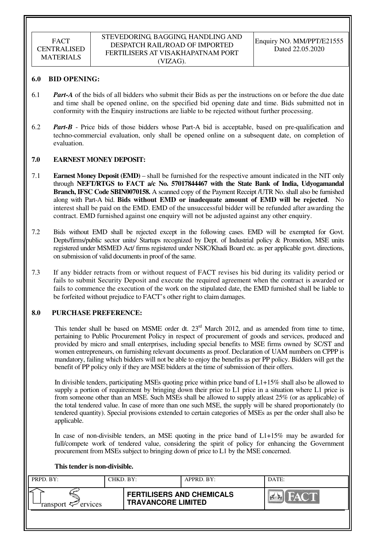#### STEVEDORING, BAGGING, HANDLING AND DESPATCH RAIL/ROAD OF IMPORTED FERTILISERS AT VISAKHAPATNAM PORT (VIZAG).

### **6.0 BID OPENING:**

- 6.1 *Part-A* of the bids of all bidders who submit their Bids as per the instructions on or before the due date and time shall be opened online, on the specified bid opening date and time. Bids submitted not in conformity with the Enquiry instructions are liable to be rejected without further processing.
- 6.2 *Part-B* Price bids of those bidders whose Part-A bid is acceptable, based on pre-qualification and techno-commercial evaluation, only shall be opened online on a subsequent date, on completion of evaluation.

### **7.0 EARNEST MONEY DEPOSIT:**

- 7.1 **Earnest Money Deposit (EMD)** shall be furnished for the respective amount indicated in the NIT only through **NEFT/RTGS to FACT a/c No. 57017844467 with the State Bank of India, Udyogamandal Branch, IFSC Code SBIN0070158.** A scanned copy of the Payment Receipt /UTR No. shall also be furnished along with Part-A bid. **Bids without EMD or inadequate amount of EMD will be rejected**. No interest shall be paid on the EMD. EMD of the unsuccessful bidder will be refunded after awarding the contract. EMD furnished against one enquiry will not be adjusted against any other enquiry.
- 7.2 Bids without EMD shall be rejected except in the following cases. EMD will be exempted for Govt. Depts/firms/public sector units/ Startups recognized by Dept. of Industrial policy & Promotion, MSE units registered under MSMED Act/ firms registered under NSIC/Khadi Board etc. as per applicable govt. directions, on submission of valid documents in proof of the same.
- 7.3 If any bidder retracts from or without request of FACT revises his bid during its validity period or fails to submit Security Deposit and execute the required agreement when the contract is awarded or fails to commence the execution of the work on the stipulated date, the EMD furnished shall be liable to be forfeited without prejudice to FACT's other right to claim damages.

### **8.0 PURCHASE PREFERENCE:**

This tender shall be based on MSME order dt. 23<sup>rd</sup> March 2012, and as amended from time to time, pertaining to Public Procurement Policy in respect of procurement of goods and services, produced and provided by micro and small enterprises, including special benefits to MSE firms owned by SC/ST and women entrepreneurs, on furnishing relevant documents as proof. Declaration of UAM numbers on CPPP is mandatory, failing which bidders will not be able to enjoy the benefits as per PP policy. Bidders will get the benefit of PP policy only if they are MSE bidders at the time of submission of their offers.

In divisible tenders, participating MSEs quoting price within price band of L1+15% shall also be allowed to supply a portion of requirement by bringing down their price to L1 price in a situation where L1 price is from someone other than an MSE. Such MSEs shall be allowed to supply atleast 25% (or as applicable) of the total tendered value. In case of more than one such MSE, the supply will be shared proportionately (to tendered quantity). Special provisions extended to certain categories of MSEs as per the order shall also be applicable.

In case of non-divisible tenders, an MSE quoting in the price band of L1+15% may be awarded for full/compete work of tendered value, considering the spirit of policy for enhancing the Government procurement from MSEs subject to bringing down of price to L1 by the MSE concerned.

### **This tender is non-divisible.**

| PRPD. BY:              | CHKD. BY: |                                                               | APPRD. BY: | DATE:                    |
|------------------------|-----------|---------------------------------------------------------------|------------|--------------------------|
| ransport $\ll$ ervices |           | <b>FERTILISERS AND CHEMICALS</b><br><b>TRAVANCORE LIMITED</b> |            | FACT<br>$\sum_{i=1}^{n}$ |
|                        |           |                                                               |            |                          |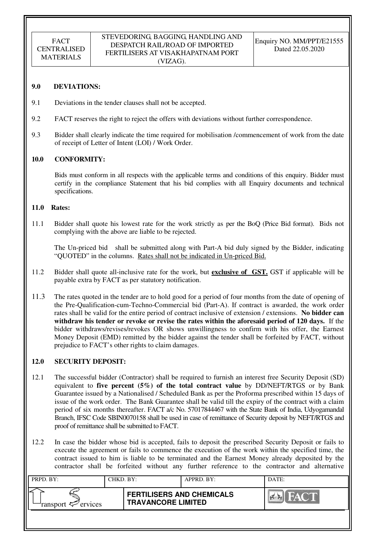#### **9.0 DEVIATIONS:**

- 9.1 Deviations in the tender clauses shall not be accepted.
- 9.2 FACT reserves the right to reject the offers with deviations without further correspondence.
- 9.3 Bidder shall clearly indicate the time required for mobilisation /commencement of work from the date of receipt of Letter of Intent (LOI) / Work Order.

#### **10.0 CONFORMITY:**

Bids must conform in all respects with the applicable terms and conditions of this enquiry. Bidder must certify in the compliance Statement that his bid complies with all Enquiry documents and technical specifications.

#### **11.0 Rates:**

11.1 Bidder shall quote his lowest rate for the work strictly as per the BoQ (Price Bid format). Bids not complying with the above are liable to be rejected.

The Un-priced bid shall be submitted along with Part-A bid duly signed by the Bidder, indicating "QUOTED" in the columns. Rates shall not be indicated in Un-priced Bid.

- 11.2 Bidder shall quote all-inclusive rate for the work, but **exclusive of GST.** GST if applicable will be payable extra by FACT as per statutory notification.
- 11.3 The rates quoted in the tender are to hold good for a period of four months from the date of opening of the Pre-Qualification-cum-Techno-Commercial bid (Part-A). If contract is awarded, the work order rates shall be valid for the entire period of contract inclusive of extension / extensions. **No bidder can withdraw his tender or revoke or revise the rates within the aforesaid period of 120 days.** If the bidder withdraws/revises/revokes OR shows unwillingness to confirm with his offer, the Earnest Money Deposit (EMD) remitted by the bidder against the tender shall be forfeited by FACT, without prejudice to FACT's other rights to claim damages.

### **12.0 SECURITY DEPOSIT:**

- 12.1 The successful bidder (Contractor) shall be required to furnish an interest free Security Deposit (SD) equivalent to **five percent (5%) of the total contract value** by DD/NEFT/RTGS or by Bank Guarantee issued by a Nationalised / Scheduled Bank as per the Proforma prescribed within 15 days of issue of the work order. The Bank Guarantee shall be valid till the expiry of the contract with a claim period of six months thereafter. FACT a/c No. 57017844467 with the State Bank of India, Udyogamandal Branch, IFSC Code SBIN0070158 shall be used in case of remittance of Security deposit by NEFT/RTGS and proof of remittance shall be submitted to FACT.
- 12.2 In case the bidder whose bid is accepted, fails to deposit the prescribed Security Deposit or fails to execute the agreement or fails to commence the execution of the work within the specified time, the contract issued to him is liable to be terminated and the Earnest Money already deposited by the contractor shall be forfeited without any further reference to the contractor and alternative

| PRPD. BY:              | CHKD. BY: |                                                               | APPRD. BY: | DATE:                  |
|------------------------|-----------|---------------------------------------------------------------|------------|------------------------|
| ransport $\ll$ ervices |           | <b>FERTILISERS AND CHEMICALS</b><br><b>TRAVANCORE LIMITED</b> |            | EVA.<br><b>Part Re</b> |
|                        |           |                                                               |            |                        |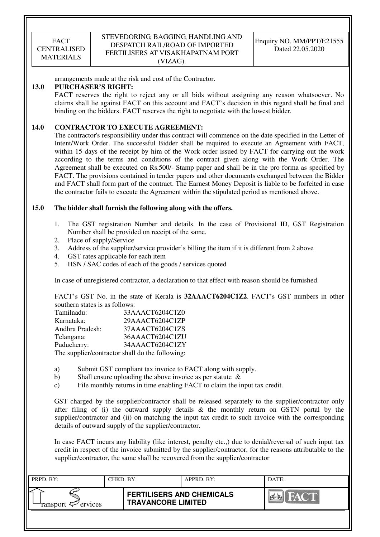### STEVEDORING, BAGGING, HANDLING AND DESPATCH RAIL/ROAD OF IMPORTED FERTILISERS AT VISAKHAPATNAM PORT (VIZAG).

arrangements made at the risk and cost of the Contractor.

### **13.0 PURCHASER'S RIGHT:**

FACT reserves the right to reject any or all bids without assigning any reason whatsoever. No claims shall lie against FACT on this account and FACT's decision in this regard shall be final and binding on the bidders. FACT reserves the right to negotiate with the lowest bidder.

### **14.0 CONTRACTOR TO EXECUTE AGREEMENT:**

 The contractor's responsibility under this contract will commence on the date specified in the Letter of Intent/Work Order. The successful Bidder shall be required to execute an Agreement with FACT, within 15 days of the receipt by him of the Work order issued by FACT for carrying out the work according to the terms and conditions of the contract given along with the Work Order. The Agreement shall be executed on Rs.500/- Stamp paper and shall be in the pro forma as specified by FACT. The provisions contained in tender papers and other documents exchanged between the Bidder and FACT shall form part of the contract. The Earnest Money Deposit is liable to be forfeited in case the contractor fails to execute the Agreement within the stipulated period as mentioned above.

### **15.0 The bidder shall furnish the following along with the offers.**

- 1. The GST registration Number and details. In the case of Provisional ID, GST Registration Number shall be provided on receipt of the same.
- 2. Place of supply/Service
- 3. Address of the supplier/service provider's billing the item if it is different from 2 above
- 4. GST rates applicable for each item
- 5. HSN / SAC codes of each of the goods / services quoted

In case of unregistered contractor, a declaration to that effect with reason should be furnished.

FACT's GST No. in the state of Kerala is **32AAACT6204C1Z2**. FACT's GST numbers in other southern states is as follows:

| Tamilnadu:                                      | 33AAACT6204C1Z0 |
|-------------------------------------------------|-----------------|
| Karnataka:                                      | 29AAACT6204C1ZP |
| Andhra Pradesh:                                 | 37AAACT6204C1ZS |
| Telangana:                                      | 36AAACT6204C1ZU |
| Puducherry:                                     | 34AAACT6204C1ZY |
| The supplier/contractor shall do the following: |                 |

- a) Submit GST compliant tax invoice to FACT along with supply.
- b) Shall ensure uploading the above invoice as per statute &
- c) File monthly returns in time enabling FACT to claim the input tax credit.

GST charged by the supplier/contractor shall be released separately to the supplier/contractor only after filing of (i) the outward supply details  $\&$  the monthly return on GSTN portal by the supplier/contractor and (ii) on matching the input tax credit to such invoice with the corresponding details of outward supply of the supplier/contractor.

In case FACT incurs any liability (like interest, penalty etc.,) due to denial/reversal of such input tax credit in respect of the invoice submitted by the supplier/contractor, for the reasons attributable to the supplier/contractor, the same shall be recovered from the supplier/contractor

| PRPD. BY:              | CHKD. BY: |                                                               | APPRD. BY: | DATE:                     |
|------------------------|-----------|---------------------------------------------------------------|------------|---------------------------|
| ransport $\ll$ ervices |           | <b>FERTILISERS AND CHEMICALS</b><br><b>TRAVANCORE LIMITED</b> |            | <b>FACT</b><br><b>PER</b> |
|                        |           |                                                               |            |                           |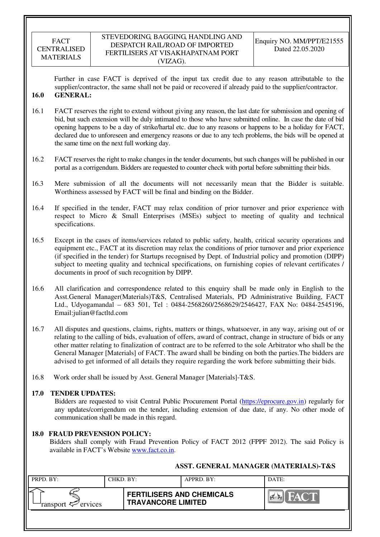### STEVEDORING, BAGGING, HANDLING AND DESPATCH RAIL/ROAD OF IMPORTED FERTILISERS AT VISAKHAPATNAM PORT (VIZAG).

Further in case FACT is deprived of the input tax credit due to any reason attributable to the supplier/contractor, the same shall not be paid or recovered if already paid to the supplier/contractor. **16.0 GENERAL:** 

- 16.1 FACT reserves the right to extend without giving any reason, the last date for submission and opening of bid, but such extension will be duly intimated to those who have submitted online. In case the date of bid opening happens to be a day of strike/hartal etc. due to any reasons or happens to be a holiday for FACT, declared due to unforeseen and emergency reasons or due to any tech problems, the bids will be opened at the same time on the next full working day.
- 16.2 FACT reserves the right to make changes in the tender documents, but such changes will be published in our portal as a corrigendum. Bidders are requested to counter check with portal before submitting their bids.
- 16.3 Mere submission of all the documents will not necessarily mean that the Bidder is suitable. Worthiness assessed by FACT will be final and binding on the Bidder.
- 16.4 If specified in the tender, FACT may relax condition of prior turnover and prior experience with respect to Micro & Small Enterprises (MSEs) subject to meeting of quality and technical specifications.
- 16.5 Except in the cases of items/services related to public safety, health, critical security operations and equipment etc., FACT at its discretion may relax the conditions of prior turnover and prior experience (if specified in the tender) for Startups recognised by Dept. of Industrial policy and promotion (DIPP) subject to meeting quality and technical specifications, on furnishing copies of relevant certificates / documents in proof of such recognition by DIPP.
- 16.6 All clarification and correspondence related to this enquiry shall be made only in English to the Asst.General Manager(Materials)T&S, Centralised Materials, PD Administrative Building, FACT Ltd., Udyogamandal – 683 501, Tel : 0484-2568260/2568629/2546427, FAX No: 0484-2545196, Email:julian@factltd.com
- 16.7 All disputes and questions, claims, rights, matters or things, whatsoever, in any way, arising out of or relating to the calling of bids, evaluation of offers, award of contract, change in structure of bids or any other matter relating to finalization of contract are to be referred to the sole Arbitrator who shall be the General Manager [Materials] of FACT. The award shall be binding on both the parties.The bidders are advised to get informed of all details they require regarding the work before submitting their bids.
- 16.8 Work order shall be issued by Asst. General Manager [Materials]-T&S.

### **17.0 TENDER UPDATES:**

Bidders are requested to visit Central Public Procurement Portal (https://eprocure.gov.in) regularly for any updates/corrigendum on the tender, including extension of due date, if any. No other mode of communication shall be made in this regard.

### **18.0 FRAUD PREVENSION POLICY:**

Bidders shall comply with Fraud Prevention Policy of FACT 2012 (FPPF 2012). The said Policy is available in FACT's Website www.fact.co.in.

| PRPD. BY:              | CHKD. BY: |                                                               | APPRD. BY: | DATE:       |
|------------------------|-----------|---------------------------------------------------------------|------------|-------------|
| ransport $\ll$ ervices |           | <b>FERTILISERS AND CHEMICALS</b><br><b>TRAVANCORE LIMITED</b> |            | <b>HACT</b> |
|                        |           |                                                               |            |             |

## **ASST. GENERAL MANAGER (MATERIALS)-T&S**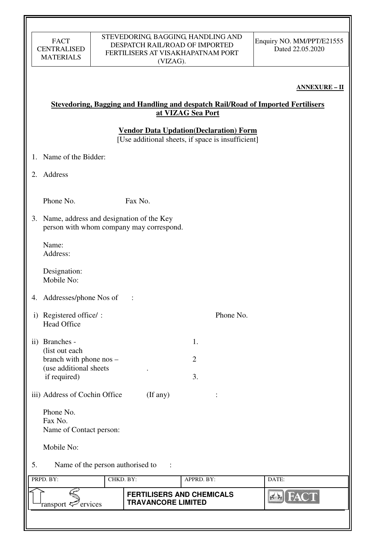### **ANNEXURE – II**

## **Stevedoring, Bagging and Handling and despatch Rail/Road of Imported Fertilisers at VIZAG Sea Port**

**Vendor Data Updation(Declaration) Form** 

[Use additional sheets, if space is insufficient]

- 1. Name of the Bidder:
- 2. Address

Phone No. **Fax No.** 

3. Name, address and designation of the Key person with whom company may correspond.

Name: Address:

Designation: Mobile No:

- 4. Addresses/phone Nos of :
- i) Registered office/: Phone No. Head Office
- ii) Branches 1. (list out each  $branch with phone nos - 2$  (use additional sheets . if required) 3.
- iii) Address of Cochin Office (If any) :
	- Phone No. Fax No. Name of Contact person:

Mobile No:

5. Name of the person authorised to :

| PRPD. BY:              | CHKD. BY: |                                                               | APPRD. BY: | DATE:             |
|------------------------|-----------|---------------------------------------------------------------|------------|-------------------|
| ransport $\ll$ ervices |           | <b>FERTILISERS AND CHEMICALS</b><br><b>TRAVANCORE LIMITED</b> |            | 134<br><b>ANT</b> |
|                        |           |                                                               |            |                   |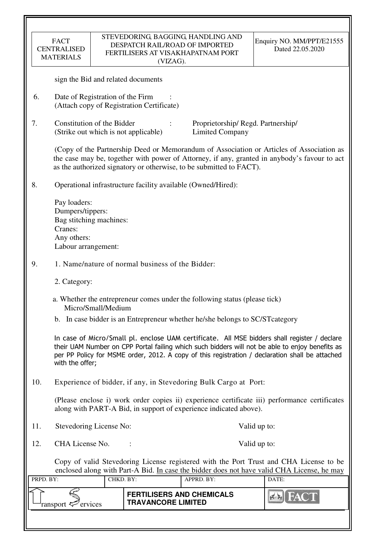|           | <b>FACT</b><br><b>CENTRALISED</b><br><b>MATERIALS</b>                                                                                                                                                                                                                                                                 |                    | DESPATCH RAIL/ROAD OF IMPORTED<br>(VIZAG). | STEVEDORING, BAGGING, HANDLING AND<br>FERTILISERS AT VISAKHAPATNAM PORT       | Enquiry NO. MM/PPT/E21555<br>Dated 22.05.2020                                                                                                                                            |  |  |  |
|-----------|-----------------------------------------------------------------------------------------------------------------------------------------------------------------------------------------------------------------------------------------------------------------------------------------------------------------------|--------------------|--------------------------------------------|-------------------------------------------------------------------------------|------------------------------------------------------------------------------------------------------------------------------------------------------------------------------------------|--|--|--|
|           | sign the Bid and related documents                                                                                                                                                                                                                                                                                    |                    |                                            |                                                                               |                                                                                                                                                                                          |  |  |  |
| 6.        | Date of Registration of the Firm                                                                                                                                                                                                                                                                                      |                    | (Attach copy of Registration Certificate)  |                                                                               |                                                                                                                                                                                          |  |  |  |
| 7.        | Constitution of the Bidder                                                                                                                                                                                                                                                                                            |                    | (Strike out which is not applicable)       | Proprietorship/Regd. Partnership/<br><b>Limited Company</b>                   |                                                                                                                                                                                          |  |  |  |
|           |                                                                                                                                                                                                                                                                                                                       |                    |                                            | as the authorized signatory or otherwise, to be submitted to FACT).           | (Copy of the Partnership Deed or Memorandum of Association or Articles of Association as<br>the case may be, together with power of Attorney, if any, granted in anybody's favour to act |  |  |  |
| 8.        |                                                                                                                                                                                                                                                                                                                       |                    |                                            | Operational infrastructure facility available (Owned/Hired):                  |                                                                                                                                                                                          |  |  |  |
|           | Pay loaders:<br>Dumpers/tippers:<br>Bag stitching machines:<br>Cranes:<br>Any others:<br>Labour arrangement:                                                                                                                                                                                                          |                    |                                            |                                                                               |                                                                                                                                                                                          |  |  |  |
| 9.        | 1. Name/nature of normal business of the Bidder:                                                                                                                                                                                                                                                                      |                    |                                            |                                                                               |                                                                                                                                                                                          |  |  |  |
|           | 2. Category:                                                                                                                                                                                                                                                                                                          |                    |                                            |                                                                               |                                                                                                                                                                                          |  |  |  |
|           |                                                                                                                                                                                                                                                                                                                       | Micro/Small/Medium |                                            | a. Whether the entrepreneur comes under the following status (please tick)    |                                                                                                                                                                                          |  |  |  |
|           |                                                                                                                                                                                                                                                                                                                       |                    |                                            | b. In case bidder is an Entrepreneur whether he/she belongs to SC/ST category |                                                                                                                                                                                          |  |  |  |
|           | In case of Micro/Small pl. enclose UAM certificate. All MSE bidders shall register / declare<br>their UAM Number on CPP Portal failing which such bidders will not be able to enjoy benefits as<br>per PP Policy for MSME order, 2012. A copy of this registration / declaration shall be attached<br>with the offer; |                    |                                            |                                                                               |                                                                                                                                                                                          |  |  |  |
| 10.       |                                                                                                                                                                                                                                                                                                                       |                    |                                            | Experience of bidder, if any, in Stevedoring Bulk Cargo at Port:              |                                                                                                                                                                                          |  |  |  |
|           | (Please enclose i) work order copies ii) experience certificate iii) performance certificates<br>along with PART-A Bid, in support of experience indicated above).                                                                                                                                                    |                    |                                            |                                                                               |                                                                                                                                                                                          |  |  |  |
| 11.       | Stevedoring License No:<br>Valid up to:                                                                                                                                                                                                                                                                               |                    |                                            |                                                                               |                                                                                                                                                                                          |  |  |  |
| 12.       | CHA License No.                                                                                                                                                                                                                                                                                                       |                    |                                            |                                                                               | Valid up to:                                                                                                                                                                             |  |  |  |
|           |                                                                                                                                                                                                                                                                                                                       |                    |                                            |                                                                               | Copy of valid Stevedoring License registered with the Port Trust and CHA License to be<br>enclosed along with Part-A Bid. In case the bidder does not have valid CHA License, he may     |  |  |  |
| PRPD. BY: |                                                                                                                                                                                                                                                                                                                       | CHKD. BY:          |                                            | APPRD. BY:                                                                    | DATE:                                                                                                                                                                                    |  |  |  |
|           | ransport <sup>2</sup> ervices                                                                                                                                                                                                                                                                                         |                    | <b>TRAVANCORE LIMITED</b>                  | <b>FERTILISERS AND CHEMICALS</b>                                              |                                                                                                                                                                                          |  |  |  |
|           |                                                                                                                                                                                                                                                                                                                       |                    |                                            |                                                                               |                                                                                                                                                                                          |  |  |  |

 $\overline{\mathbf{r}}$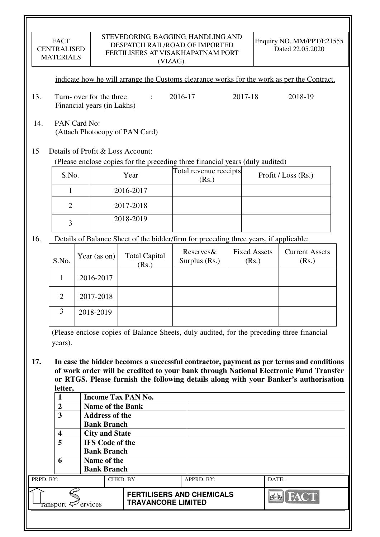|           | <b>FACT</b><br><b>CENTRALISED</b><br><b>MATERIALS</b>                                                                                                                                                                                                                               |  |                                                                       |                                                                                                                    | STEVEDORING, BAGGING, HANDLING AND<br>DESPATCH RAIL/ROAD OF IMPORTED<br>FERTILISERS AT VISAKHAPATNAM PORT<br>(VIZAG). |                            |         |                              | Enquiry NO. MM/PPT/E21555<br>Dated 22.05.2020                                              |
|-----------|-------------------------------------------------------------------------------------------------------------------------------------------------------------------------------------------------------------------------------------------------------------------------------------|--|-----------------------------------------------------------------------|--------------------------------------------------------------------------------------------------------------------|-----------------------------------------------------------------------------------------------------------------------|----------------------------|---------|------------------------------|--------------------------------------------------------------------------------------------|
|           |                                                                                                                                                                                                                                                                                     |  |                                                                       |                                                                                                                    |                                                                                                                       |                            |         |                              | indicate how he will arrange the Customs clearance works for the work as per the Contract. |
| 13.       |                                                                                                                                                                                                                                                                                     |  | Turn-over for the three<br>$\mathbf{r}$<br>Financial years (in Lakhs) |                                                                                                                    |                                                                                                                       | 2016-17                    | 2017-18 |                              | 2018-19                                                                                    |
| 14.       | PAN Card No:<br>(Attach Photocopy of PAN Card)                                                                                                                                                                                                                                      |  |                                                                       |                                                                                                                    |                                                                                                                       |                            |         |                              |                                                                                            |
| 15        |                                                                                                                                                                                                                                                                                     |  |                                                                       | Details of Profit & Loss Account:<br>(Please enclose copies for the preceding three financial years (duly audited) |                                                                                                                       |                            |         |                              |                                                                                            |
|           | S.No.                                                                                                                                                                                                                                                                               |  |                                                                       | Year                                                                                                               |                                                                                                                       | Total revenue receipts     |         |                              | Profit / Loss (Rs.)                                                                        |
|           |                                                                                                                                                                                                                                                                                     |  |                                                                       |                                                                                                                    |                                                                                                                       | (Rs.)                      |         |                              |                                                                                            |
|           | $\mathbf I$                                                                                                                                                                                                                                                                         |  |                                                                       | 2016-2017                                                                                                          |                                                                                                                       |                            |         |                              |                                                                                            |
|           | $\overline{2}$                                                                                                                                                                                                                                                                      |  |                                                                       | 2017-2018                                                                                                          |                                                                                                                       |                            |         |                              |                                                                                            |
|           | $\overline{3}$                                                                                                                                                                                                                                                                      |  |                                                                       | 2018-2019                                                                                                          |                                                                                                                       |                            |         |                              |                                                                                            |
| 16.       |                                                                                                                                                                                                                                                                                     |  |                                                                       | Details of Balance Sheet of the bidder/firm for preceding three years, if applicable:                              |                                                                                                                       |                            |         |                              |                                                                                            |
|           | S.No.                                                                                                                                                                                                                                                                               |  | Year (as on)                                                          | <b>Total Capital</b><br>(Rs.)                                                                                      |                                                                                                                       | Reserves&<br>Surplus (Rs.) |         | <b>Fixed Assets</b><br>(Rs.) | <b>Current Assets</b><br>(Rs.)                                                             |
|           | 1                                                                                                                                                                                                                                                                                   |  | 2016-2017                                                             |                                                                                                                    |                                                                                                                       |                            |         |                              |                                                                                            |
|           | $\overline{2}$                                                                                                                                                                                                                                                                      |  | 2017-2018                                                             |                                                                                                                    |                                                                                                                       |                            |         |                              |                                                                                            |
|           | 3                                                                                                                                                                                                                                                                                   |  | 2018-2019                                                             |                                                                                                                    |                                                                                                                       |                            |         |                              |                                                                                            |
|           | years).                                                                                                                                                                                                                                                                             |  |                                                                       |                                                                                                                    |                                                                                                                       |                            |         |                              | (Please enclose copies of Balance Sheets, duly audited, for the preceding three financial  |
| 17.       | In case the bidder becomes a successful contractor, payment as per terms and conditions<br>of work order will be credited to your bank through National Electronic Fund Transfer<br>or RTGS. Please furnish the following details along with your Banker's authorisation<br>letter, |  |                                                                       |                                                                                                                    |                                                                                                                       |                            |         |                              |                                                                                            |
|           | 1                                                                                                                                                                                                                                                                                   |  |                                                                       | <b>Income Tax PAN No.</b>                                                                                          |                                                                                                                       |                            |         |                              |                                                                                            |
|           | $\overline{2}$                                                                                                                                                                                                                                                                      |  | <b>Name of the Bank</b>                                               |                                                                                                                    |                                                                                                                       |                            |         |                              |                                                                                            |
|           | $\overline{\mathbf{3}}$                                                                                                                                                                                                                                                             |  | <b>Address of the</b><br><b>Bank Branch</b>                           |                                                                                                                    |                                                                                                                       |                            |         |                              |                                                                                            |
|           | 4                                                                                                                                                                                                                                                                                   |  | <b>City and State</b>                                                 |                                                                                                                    |                                                                                                                       |                            |         |                              |                                                                                            |
|           | $\overline{5}$                                                                                                                                                                                                                                                                      |  | <b>IFS Code of the</b>                                                |                                                                                                                    |                                                                                                                       |                            |         |                              |                                                                                            |
|           |                                                                                                                                                                                                                                                                                     |  | <b>Bank Branch</b>                                                    |                                                                                                                    |                                                                                                                       |                            |         |                              |                                                                                            |
|           | 6                                                                                                                                                                                                                                                                                   |  | Name of the<br><b>Bank Branch</b>                                     |                                                                                                                    |                                                                                                                       |                            |         |                              |                                                                                            |
| PRPD. BY: |                                                                                                                                                                                                                                                                                     |  |                                                                       | CHKD. BY:                                                                                                          |                                                                                                                       | APPRD. BY:                 |         | DATE:                        |                                                                                            |
|           | ransport <sup>2</sup> ervices                                                                                                                                                                                                                                                       |  |                                                                       | <b>FERTILISERS AND CHEMICALS</b><br><b>TRAVANCORE LIMITED</b>                                                      |                                                                                                                       |                            |         |                              |                                                                                            |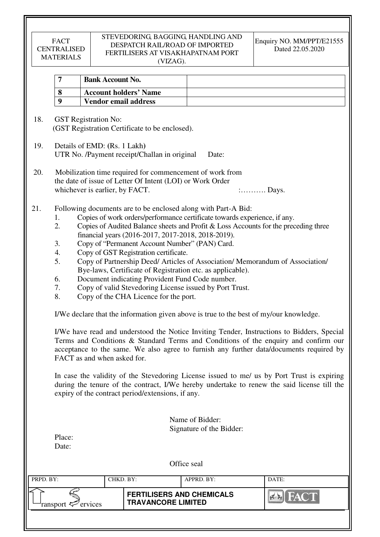### STEVEDORING, BAGGING, HANDLING AND DESPATCH RAIL/ROAD OF IMPORTED FERTILISERS AT VISAKHAPATNAM PORT (VIZAG).

| <b>Bank Account No.</b>      |  |
|------------------------------|--|
| <b>Account holders' Name</b> |  |
| Vendor email address         |  |

 18. GST Registration No: (GST Registration Certificate to be enclosed).

- 19. Details of EMD: **(**Rs. 1 Lakh**)**  UTR No. /Payment receipt/Challan in original Date:
- 20. Mobilization time required for commencement of work from the date of issue of Letter Of Intent (LOI) or Work Order whichever is earlier, by FACT.  $\ldots$  : Days.
- 21. Following documents are to be enclosed along with Part-A Bid:
	- 1. Copies of work orders/performance certificate towards experience, if any.
	- 2. Copies of Audited Balance sheets and Profit & Loss Accounts for the preceding three financial years (2016-2017, 2017-2018, 2018-2019).
	- 3. Copy of "Permanent Account Number" (PAN) Card.
	- 4. Copy of GST Registration certificate.
	- 5. Copy of Partnership Deed/ Articles of Association/ Memorandum of Association/ Bye-laws, Certificate of Registration etc. as applicable).
	- 6. Document indicating Provident Fund Code number.
	- 7. Copy of valid Stevedoring License issued by Port Trust.
	- 8. Copy of the CHA Licence for the port.

I/We declare that the information given above is true to the best of my/our knowledge.

 I/We have read and understood the Notice Inviting Tender, Instructions to Bidders, Special Terms and Conditions & Standard Terms and Conditions of the enquiry and confirm our acceptance to the same. We also agree to furnish any further data/documents required by FACT as and when asked for.

In case the validity of the Stevedoring License issued to me/ us by Port Trust is expiring during the tenure of the contract, I/We hereby undertake to renew the said license till the expiry of the contract period/extensions, if any.

> Name of Bidder: Signature of the Bidder:

| Place: |  |
|--------|--|
| Date:  |  |

| PRPD. BY:              | CHKD. BY:                                                     | APPRD. BY: | DATE:                                |
|------------------------|---------------------------------------------------------------|------------|--------------------------------------|
| ransport $\ll$ ervices | <b>FERTILISERS AND CHEMICALS</b><br><b>TRAVANCORE LIMITED</b> |            | <b>THE YANK IN</b><br>$\sum_{i=1}^n$ |
|                        |                                                               |            |                                      |

Office seal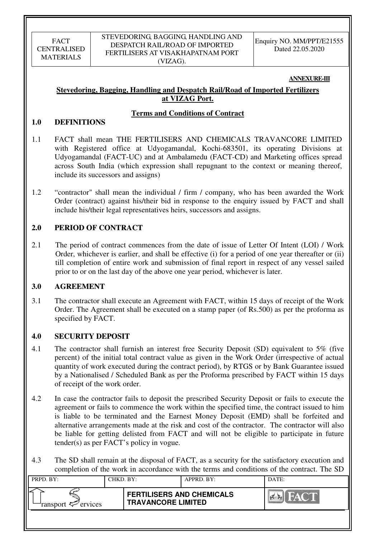### **ANNEXURE-III**

## **Stevedoring, Bagging, Handling and Despatch Rail/Road of Imported Fertilizers at VIZAG Port.**

## **Terms and Conditions of Contract**

### **1.0 DEFINITIONS**

- 1.1 FACT shall mean THE FERTILISERS AND CHEMICALS TRAVANCORE LIMITED with Registered office at Udyogamandal, Kochi-683501, its operating Divisions at Udyogamandal (FACT-UC) and at Ambalamedu (FACT-CD) and Marketing offices spread across South India (which expression shall repugnant to the context or meaning thereof, include its successors and assigns)
- 1.2 "contractor" shall mean the individual / firm / company, who has been awarded the Work Order (contract) against his/their bid in response to the enquiry issued by FACT and shall include his/their legal representatives heirs, successors and assigns.

## **2.0 PERIOD OF CONTRACT**

2.1 The period of contract commences from the date of issue of Letter Of Intent (LOI) / Work Order, whichever is earlier, and shall be effective (i) for a period of one year thereafter or (ii) till completion of entire work and submission of final report in respect of any vessel sailed prior to or on the last day of the above one year period, whichever is later.

### **3.0 AGREEMENT**

3.1 The contractor shall execute an Agreement with FACT, within 15 days of receipt of the Work Order. The Agreement shall be executed on a stamp paper (of Rs.500) as per the proforma as specified by FACT.

## **4.0 SECURITY DEPOSIT**

- 4.1 The contractor shall furnish an interest free Security Deposit (SD) equivalent to 5% (five percent) of the initial total contract value as given in the Work Order (irrespective of actual quantity of work executed during the contract period), by RTGS or by Bank Guarantee issued by a Nationalised / Scheduled Bank as per the Proforma prescribed by FACT within 15 days of receipt of the work order.
- 4.2 In case the contractor fails to deposit the prescribed Security Deposit or fails to execute the agreement or fails to commence the work within the specified time, the contract issued to him is liable to be terminated and the Earnest Money Deposit (EMD) shall be forfeited and alternative arrangements made at the risk and cost of the contractor. The contractor will also be liable for getting delisted from FACT and will not be eligible to participate in future tender(s) as per FACT's policy in vogue.
- 4.3 The SD shall remain at the disposal of FACT, as a security for the satisfactory execution and completion of the work in accordance with the terms and conditions of the contract. The SD

| PRPD. BY:              | CHKD. BY: |                                                               | APPRD. BY: | DATE:                     |
|------------------------|-----------|---------------------------------------------------------------|------------|---------------------------|
| ransport $\ll$ ervices |           | <b>FERTILISERS AND CHEMICALS</b><br><b>TRAVANCORE LIMITED</b> |            | <b>FACT</b><br>I Corea Ka |
|                        |           |                                                               |            |                           |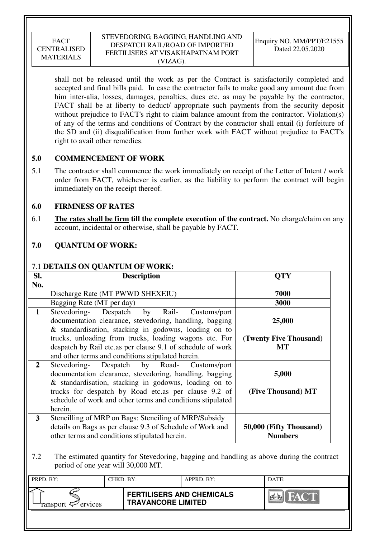### STEVEDORING, BAGGING, HANDLING AND DESPATCH RAIL/ROAD OF IMPORTED FERTILISERS AT VISAKHAPATNAM PORT (VIZAG).

shall not be released until the work as per the Contract is satisfactorily completed and accepted and final bills paid. In case the contractor fails to make good any amount due from him inter-alia, losses, damages, penalties, dues etc. as may be payable by the contractor, FACT shall be at liberty to deduct/ appropriate such payments from the security deposit without prejudice to FACT's right to claim balance amount from the contractor. Violation(s) of any of the terms and conditions of Contract by the contractor shall entail (i) forfeiture of the SD and (ii) disqualification from further work with FACT without prejudice to FACT's right to avail other remedies.

## **5.0 COMMENCEMENT OF WORK**

5.1 The contractor shall commence the work immediately on receipt of the Letter of Intent / work order from FACT, whichever is earlier, as the liability to perform the contract will begin immediately on the receipt thereof.

## **6.0 FIRMNESS OF RATES**

6.1 **The rates shall be firm till the complete execution of the contract.** No charge/claim on any account, incidental or otherwise, shall be payable by FACT.

## **7.0 QUANTUM OF WORK:**

### 7.1 **DETAILS ON QUANTUM OF WORK:**

| SI.          | <b>Description</b>                                                                                                                                                                                                                                                                                   | OTY                                       |
|--------------|------------------------------------------------------------------------------------------------------------------------------------------------------------------------------------------------------------------------------------------------------------------------------------------------------|-------------------------------------------|
| No.          |                                                                                                                                                                                                                                                                                                      |                                           |
|              | Discharge Rate (MT PWWD SHEXEIU)                                                                                                                                                                                                                                                                     | 7000                                      |
|              | Bagging Rate (MT per day)                                                                                                                                                                                                                                                                            | 3000                                      |
| 1            | Stevedoring- Despatch by Rail-<br>Customs/port<br>documentation clearance, stevedoring, handling, bagging<br>& standardisation, stacking in godowns, loading on to                                                                                                                                   | 25,000                                    |
|              | trucks, unloading from trucks, loading wagons etc. For<br>despatch by Rail etc.as per clause 9.1 of schedule of work<br>and other terms and conditions stipulated herein.                                                                                                                            | (Twenty Five Thousand)<br>MT              |
| $\mathbf{2}$ | Stevedoring-<br>Despatch by Road- Customs/port<br>documentation clearance, stevedoring, handling, bagging<br>& standardisation, stacking in godowns, loading on to<br>trucks for despatch by Road etc. as per clause 9.2 of<br>schedule of work and other terms and conditions stipulated<br>herein. | 5,000<br>(Five Thousand) MT               |
| 3            | Stencilling of MRP on Bags: Stenciling of MRP/Subsidy<br>details on Bags as per clause 9.3 of Schedule of Work and<br>other terms and conditions stipulated herein.                                                                                                                                  | 50,000 (Fifty Thousand)<br><b>Numbers</b> |

7.2 The estimated quantity for Stevedoring, bagging and handling as above during the contract period of one year will 30,000 MT.

| PRPD. BY:                  | CHKD. BY: |                                                               | APPRD. BY: | DATE: |
|----------------------------|-----------|---------------------------------------------------------------|------------|-------|
| ransport $\approx$ ervices |           | <b>FERTILISERS AND CHEMICALS</b><br><b>TRAVANCORE LIMITED</b> |            | HACT. |
|                            |           |                                                               |            |       |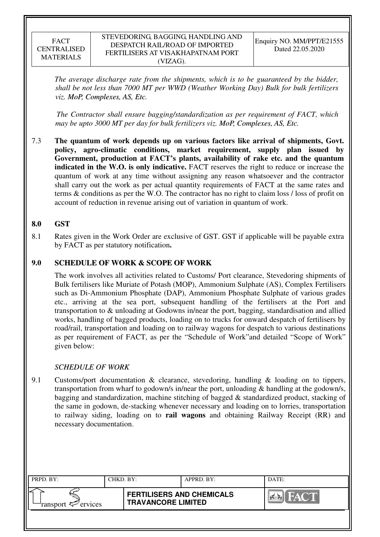*The average discharge rate from the shipments, which is to be guaranteed by the bidder, shall be not less than 7000 MT per WWD (Weather Working Day) Bulk for bulk fertilizers viz. MoP, Complexes, AS, Etc.*

 *The Contractor shall ensure bagging/standardization as per requirement of FACT, which may be upto 3000 MT per day for bulk fertilizers viz. MoP, Complexes, AS, Etc.*

7.3 **The quantum of work depends up on various factors like arrival of shipments, Govt. policy, agro-climatic conditions, market requirement, supply plan issued by Government, production at FACT's plants, availability of rake etc. and the quantum indicated in the W.O. is only indicative.** FACT reserves the right to reduce or increase the quantum of work at any time without assigning any reason whatsoever and the contractor shall carry out the work as per actual quantity requirements of FACT at the same rates and terms & conditions as per the W.O. The contractor has no right to claim loss / loss of profit on account of reduction in revenue arising out of variation in quantum of work.

## **8.0 GST**

8.1 Rates given in the Work Order are exclusive of GST. GST if applicable will be payable extra by FACT as per statutory notification**.** 

## **9.0 SCHEDULE OF WORK & SCOPE OF WORK**

 The work involves all activities related to Customs/ Port clearance, Stevedoring shipments of Bulk fertilisers like Muriate of Potash (MOP), Ammonium Sulphate (AS), Complex Fertilisers such as Di-Ammonium Phosphate (DAP), Ammonium Phosphate Sulphate of various grades etc., arriving at the sea port, subsequent handling of the fertilisers at the Port and transportation to & unloading at Godowns in/near the port, bagging, standardisation and allied works, handling of bagged products, loading on to trucks for onward despatch of fertilisers by road/rail, transportation and loading on to railway wagons for despatch to various destinations as per requirement of FACT, as per the "Schedule of Work"and detailed "Scope of Work" given below:

### *SCHEDULE OF WORK*

9.1 Customs/port documentation & clearance, stevedoring, handling & loading on to tippers, transportation from wharf to godown/s in/near the port, unloading & handling at the godown/s, bagging and standardization, machine stitching of bagged & standardized product, stacking of the same in godown, de-stacking whenever necessary and loading on to lorries, transportation to railway siding, loading on to **rail wagons** and obtaining Railway Receipt (RR) and necessary documentation.

| PRPD. BY:              | CHKD. BY: |                                                               | APPRD. BY: | DATE:       |
|------------------------|-----------|---------------------------------------------------------------|------------|-------------|
| ransport $\ll$ ervices |           | <b>FERTILISERS AND CHEMICALS</b><br><b>TRAVANCORE LIMITED</b> |            | <b>FACT</b> |
|                        |           |                                                               |            |             |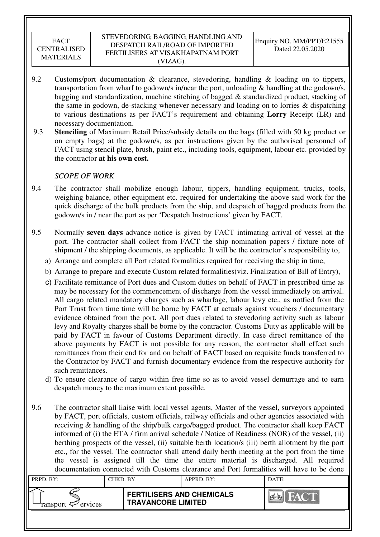- 9.2 Customs/port documentation & clearance, stevedoring, handling & loading on to tippers, transportation from wharf to godown/s in/near the port, unloading & handling at the godown/s, bagging and standardization, machine stitching of bagged & standardized product, stacking of the same in godown, de-stacking whenever necessary and loading on to lorries & dispatching to various destinations as per FACT's requirement and obtaining **Lorry** Receipt (LR) and necessary documentation.
- 9.3 **Stenciling** of Maximum Retail Price/subsidy details on the bags (filled with 50 kg product or on empty bags) at the godown/s, as per instructions given by the authorised personnel of FACT using stencil plate, brush, paint etc., including tools, equipment, labour etc. provided by the contractor **at his own cost.**

## *SCOPE OF WORK*

- 9.4 The contractor shall mobilize enough labour, tippers, handling equipment, trucks, tools, weighing balance, other equipment etc. required for undertaking the above said work for the quick discharge of the bulk products from the ship, and despatch of bagged products from the godown/s in / near the port as per 'Despatch Instructions' given by FACT.
- 9.5 Normally **seven days** advance notice is given by FACT intimating arrival of vessel at the port. The contractor shall collect from FACT the ship nomination papers / fixture note of shipment / the shipping documents, as applicable. It will be the contractor's responsibility to,
	- a) Arrange and complete all Port related formalities required for receiving the ship in time,
	- b) Arrange to prepare and execute Custom related formalities(viz. Finalization of Bill of Entry),
	- c) Facilitate remittance of Port dues and Custom duties on behalf of FACT in prescribed time as may be necessary for the commencement of discharge from the vessel immediately on arrival. All cargo related mandatory charges such as wharfage, labour levy etc., as notfied from the Port Trust from time time will be borne by FACT at actuals against vouchers / documentary evidence obtained from the port. All port dues related to stevedoring activity such as labour levy and Royalty charges shall be borne by the contractor. Customs Duty as applicable will be paid by FACT in favour of Customs Department directly. In case direct remittance of the above payments by FACT is not possible for any reason, the contractor shall effect such remittances from their end for and on behalf of FACT based on requisite funds transferred to the Contractor by FACT and furnish documentary evidence from the respective authority for such remittances.
	- d) To ensure clearance of cargo within free time so as to avoid vessel demurrage and to earn despatch money to the maximum extent possible.
- 9.6 The contractor shall liaise with local vessel agents, Master of the vessel, surveyors appointed by FACT, port officials, custom officials, railway officials and other agencies associated with receiving & handling of the ship/bulk cargo/bagged product. The contractor shall keep FACT informed of (i) the ETA / firm arrival schedule / Notice of Readiness (NOR) of the vessel, (ii) berthing prospects of the vessel, (ii) suitable berth location/s (iii) berth allotment by the port etc., for the vessel. The contractor shall attend daily berth meeting at the port from the time the vessel is assigned till the time the entire material is discharged. All required documentation connected with Customs clearance and Port formalities will have to be done

| PRPD. BY:              | CHKD. BY: |                                                               | APPRD. BY: | DATE: |
|------------------------|-----------|---------------------------------------------------------------|------------|-------|
| ransport $\ll$ ervices |           | <b>FERTILISERS AND CHEMICALS</b><br><b>TRAVANCORE LIMITED</b> |            | FACT. |
|                        |           |                                                               |            |       |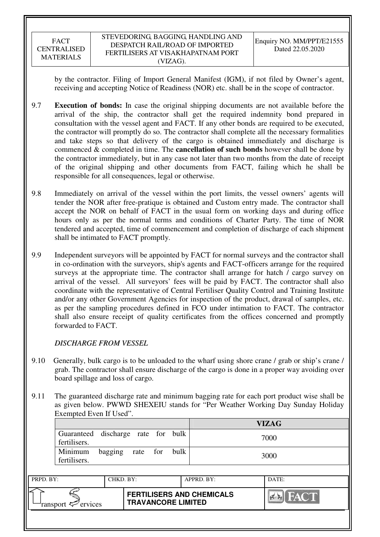by the contractor. Filing of Import General Manifest (IGM), if not filed by Owner's agent, receiving and accepting Notice of Readiness (NOR) etc. shall be in the scope of contractor.

- 9.7 **Execution of bonds:** In case the original shipping documents are not available before the arrival of the ship, the contractor shall get the required indemnity bond prepared in consultation with the vessel agent and FACT. If any other bonds are required to be executed, the contractor will promptly do so. The contractor shall complete all the necessary formalities and take steps so that delivery of the cargo is obtained immediately and discharge is commenced & completed in time. The **cancellation of such bonds** however shall be done by the contractor immediately, but in any case not later than two months from the date of receipt of the original shipping and other documents from FACT, failing which he shall be responsible for all consequences, legal or otherwise.
- 9.8 Immediately on arrival of the vessel within the port limits, the vessel owners' agents will tender the NOR after free-pratique is obtained and Custom entry made. The contractor shall accept the NOR on behalf of FACT in the usual form on working days and during office hours only as per the normal terms and conditions of Charter Party. The time of NOR tendered and accepted, time of commencement and completion of discharge of each shipment shall be intimated to FACT promptly.
- 9.9 Independent surveyors will be appointed by FACT for normal surveys and the contractor shall in co-ordination with the surveyors, ship's agents and FACT-officers arrange for the required surveys at the appropriate time. The contractor shall arrange for hatch / cargo survey on arrival of the vessel. All surveyors' fees will be paid by FACT. The contractor shall also coordinate with the representative of Central Fertiliser Quality Control and Training Institute and/or any other Government Agencies for inspection of the product, drawal of samples, etc. as per the sampling procedures defined in FCO under intimation to FACT. The contractor shall also ensure receipt of quality certificates from the offices concerned and promptly forwarded to FACT.

## *DISCHARGE FROM VESSEL*

- 9.10 Generally, bulk cargo is to be unloaded to the wharf using shore crane / grab or ship's crane / grab. The contractor shall ensure discharge of the cargo is done in a proper way avoiding over board spillage and loss of cargo.
- 9.11 The guaranteed discharge rate and minimum bagging rate for each port product wise shall be as given below. PWWD SHEXEIU stands for "Per Weather Working Day Sunday Holiday Exempted Even If Used".

|                                    |         |          |      | <b>VIZAG</b> |
|------------------------------------|---------|----------|------|--------------|
| Guaranteed discharge rate for bulk |         |          |      | 7000         |
| fertilisers.                       |         |          |      |              |
| Minimum                            | bagging | rate for | bulk | 3000         |
| fertilisers.                       |         |          |      |              |
|                                    |         |          |      |              |

| PRPD. BY:                                | CHKD. BY: |                                                               | APPRD. BY: | DATE:       |
|------------------------------------------|-----------|---------------------------------------------------------------|------------|-------------|
| ransport $\epsilon$ <sup>-</sup> ervices |           | <b>FERTILISERS AND CHEMICALS</b><br><b>TRAVANCORE LIMITED</b> |            | <b>FACT</b> |
|                                          |           |                                                               |            |             |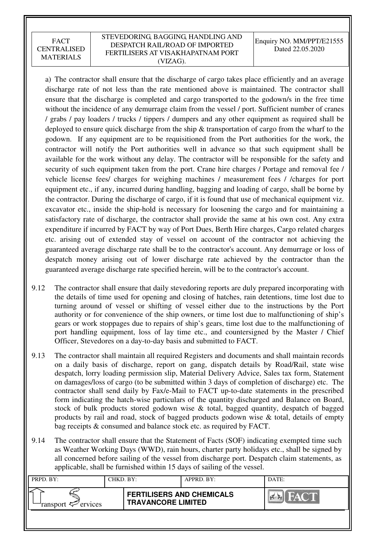### STEVEDORING, BAGGING, HANDLING AND DESPATCH RAIL/ROAD OF IMPORTED FERTILISERS AT VISAKHAPATNAM PORT (VIZAG).

Enquiry NO. MM/PPT/E21555 Dated 22.05.2020

a) The contractor shall ensure that the discharge of cargo takes place efficiently and an average discharge rate of not less than the rate mentioned above is maintained. The contractor shall ensure that the discharge is completed and cargo transported to the godown/s in the free time without the incidence of any demurrage claim from the vessel / port. Sufficient number of cranes / grabs / pay loaders / trucks / tippers / dumpers and any other equipment as required shall be deployed to ensure quick discharge from the ship  $\&$  transportation of cargo from the wharf to the godown. If any equipment are to be requisitioned from the Port authorities for the work, the contractor will notify the Port authorities well in advance so that such equipment shall be available for the work without any delay. The contractor will be responsible for the safety and security of such equipment taken from the port. Crane hire charges / Portage and removal fee / vehicle license fees/ charges for weighing machines / measurement fees / /charges for port equipment etc., if any, incurred during handling, bagging and loading of cargo, shall be borne by the contractor. During the discharge of cargo, if it is found that use of mechanical equipment viz. excavator etc., inside the ship-hold is necessary for loosening the cargo and for maintaining a satisfactory rate of discharge, the contractor shall provide the same at his own cost. Any extra expenditure if incurred by FACT by way of Port Dues, Berth Hire charges, Cargo related charges etc. arising out of extended stay of vessel on account of the contractor not achieving the guaranteed average discharge rate shall be to the contractor's account. Any demurrage or loss of despatch money arising out of lower discharge rate achieved by the contractor than the guaranteed average discharge rate specified herein, will be to the contractor's account.

- 9.12 The contractor shall ensure that daily stevedoring reports are duly prepared incorporating with the details of time used for opening and closing of hatches, rain detentions, time lost due to turning around of vessel or shifting of vessel either due to the instructions by the Port authority or for convenience of the ship owners, or time lost due to malfunctioning of ship's gears or work stoppages due to repairs of ship's gears, time lost due to the malfunctioning of port handling equipment, loss of lay time etc., and countersigned by the Master / Chief Officer, Stevedores on a day-to-day basis and submitted to FACT.
- 9.13 The contractor shall maintain all required Registers and documents and shall maintain records on a daily basis of discharge, report on gang, dispatch details by Road/Rail, state wise despatch, lorry loading permission slip, Material Delivery Advice, Sales tax form, Statement on damages/loss of cargo (to be submitted within 3 days of completion of discharge) etc. The contractor shall send daily by Fax/e-Mail to FACT up-to-date statements in the prescribed form indicating the hatch-wise particulars of the quantity discharged and Balance on Board, stock of bulk products stored godown wise & total, bagged quantity, despatch of bagged products by rail and road, stock of bagged products godown wise & total, details of empty bag receipts & consumed and balance stock etc. as required by FACT.
- 9.14 The contractor shall ensure that the Statement of Facts (SOF) indicating exempted time such as Weather Working Days (WWD), rain hours, charter party holidays etc., shall be signed by all concerned before sailing of the vessel from discharge port. Despatch claim statements, as applicable, shall be furnished within 15 days of sailing of the vessel.

| PRPD. BY:                      | CHKD. BY: |                                                               | APPRD. BY: | DATE: |
|--------------------------------|-----------|---------------------------------------------------------------|------------|-------|
| ransport $\mathcal{P}$ ervices |           | <b>FERTILISERS AND CHEMICALS</b><br><b>TRAVANCORE LIMITED</b> |            | FACT  |
|                                |           |                                                               |            |       |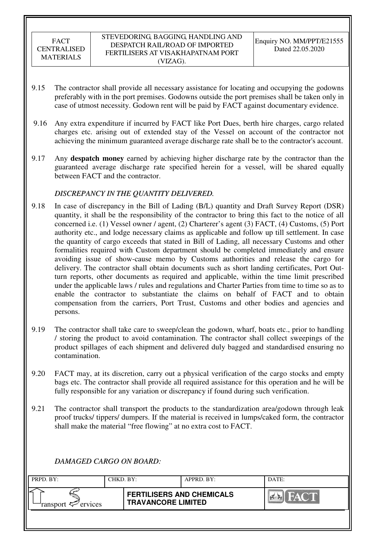- 9.15 The contractor shall provide all necessary assistance for locating and occupying the godowns preferably with in the port premises. Godowns outside the port premises shall be taken only in case of utmost necessity. Godown rent will be paid by FACT against documentary evidence.
- 9.16 Any extra expenditure if incurred by FACT like Port Dues, berth hire charges, cargo related charges etc. arising out of extended stay of the Vessel on account of the contractor not achieving the minimum guaranteed average discharge rate shall be to the contractor's account.
- 9.17 Any **despatch money** earned by achieving higher discharge rate by the contractor than the guaranteed average discharge rate specified herein for a vessel, will be shared equally between FACT and the contractor.

## *DISCREPANCY IN THE QUANTITY DELIVERED.*

- 9.18 In case of discrepancy in the Bill of Lading (B/L) quantity and Draft Survey Report (DSR) quantity, it shall be the responsibility of the contractor to bring this fact to the notice of all concerned i.e. (1) Vessel owner / agent, (2) Charterer's agent (3) FACT, (4) Customs, (5) Port authority etc., and lodge necessary claims as applicable and follow up till settlement. In case the quantity of cargo exceeds that stated in Bill of Lading, all necessary Customs and other formalities required with Custom department should be completed immediately and ensure avoiding issue of show-cause memo by Customs authorities and release the cargo for delivery. The contractor shall obtain documents such as short landing certificates, Port Outturn reports, other documents as required and applicable, within the time limit prescribed under the applicable laws / rules and regulations and Charter Parties from time to time so as to enable the contractor to substantiate the claims on behalf of FACT and to obtain compensation from the carriers, Port Trust, Customs and other bodies and agencies and persons.
- 9.19 The contractor shall take care to sweep/clean the godown, wharf, boats etc., prior to handling / storing the product to avoid contamination. The contractor shall collect sweepings of the product spillages of each shipment and delivered duly bagged and standardised ensuring no contamination.
- 9.20 FACT may, at its discretion, carry out a physical verification of the cargo stocks and empty bags etc. The contractor shall provide all required assistance for this operation and he will be fully responsible for any variation or discrepancy if found during such verification.
- 9.21 The contractor shall transport the products to the standardization area/godown through leak proof trucks/ tippers/ dumpers. If the material is received in lumps/caked form, the contractor shall make the material "free flowing" at no extra cost to FACT.

# *DAMAGED CARGO ON BOARD:*

| PRPD. BY:              | CHKD. BY: |                                                               | APPRD. BY: | DATE:                     |
|------------------------|-----------|---------------------------------------------------------------|------------|---------------------------|
| ransport $\ll$ ervices |           | <b>FERTILISERS AND CHEMICALS</b><br><b>TRAVANCORE LIMITED</b> |            | <b>FACT</b><br><b>PER</b> |
|                        |           |                                                               |            |                           |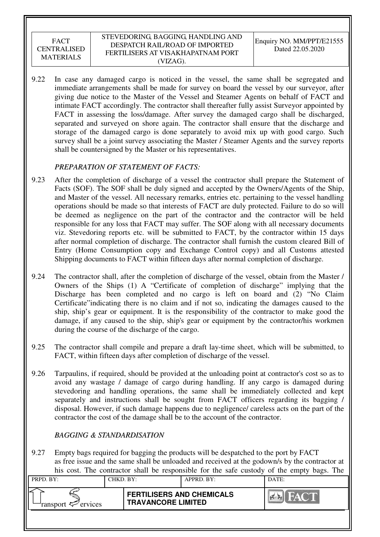9.22 In case any damaged cargo is noticed in the vessel, the same shall be segregated and immediate arrangements shall be made for survey on board the vessel by our surveyor, after giving due notice to the Master of the Vessel and Steamer Agents on behalf of FACT and intimate FACT accordingly. The contractor shall thereafter fully assist Surveyor appointed by FACT in assessing the loss/damage. After survey the damaged cargo shall be discharged, separated and surveyed on shore again. The contractor shall ensure that the discharge and storage of the damaged cargo is done separately to avoid mix up with good cargo. Such survey shall be a joint survey associating the Master / Steamer Agents and the survey reports shall be countersigned by the Master or his representatives.

## *PREPARATION OF STATEMENT OF FACTS:*

- 9.23 After the completion of discharge of a vessel the contractor shall prepare the Statement of Facts (SOF). The SOF shall be duly signed and accepted by the Owners/Agents of the Ship, and Master of the vessel. All necessary remarks, entries etc. pertaining to the vessel handling operations should be made so that interests of FACT are duly protected. Failure to do so will be deemed as negligence on the part of the contractor and the contractor will be held responsible for any loss that FACT may suffer. The SOF along with all necessary documents viz. Stevedoring reports etc. will be submitted to FACT, by the contractor within 15 days after normal completion of discharge. The contractor shall furnish the custom cleared Bill of Entry (Home Consumption copy and Exchange Control copy) and all Customs attested Shipping documents to FACT within fifteen days after normal completion of discharge.
- 9.24 The contractor shall, after the completion of discharge of the vessel, obtain from the Master / Owners of the Ships (1) A "Certificate of completion of discharge" implying that the Discharge has been completed and no cargo is left on board and (2) "No Claim Certificate"indicating there is no claim and if not so, indicating the damages caused to the ship, ship's gear or equipment. It is the responsibility of the contractor to make good the damage, if any caused to the ship, ship's gear or equipment by the contractor/his workmen during the course of the discharge of the cargo.
- 9.25 The contractor shall compile and prepare a draft lay-time sheet, which will be submitted, to FACT, within fifteen days after completion of discharge of the vessel.
- 9.26 Tarpaulins, if required, should be provided at the unloading point at contractor's cost so as to avoid any wastage / damage of cargo during handling. If any cargo is damaged during stevedoring and handling operations, the same shall be immediately collected and kept separately and instructions shall be sought from FACT officers regarding its bagging / disposal. However, if such damage happens due to negligence/ careless acts on the part of the contractor the cost of the damage shall be to the account of the contractor.

# *BAGGING & STANDARDISATION*

9.27 Empty bags required for bagging the products will be despatched to the port by FACT as free issue and the same shall be unloaded and received at the godown/s by the contractor at his cost. The contractor shall be responsible for the safe custody of the empty bags. The

| PRPD. BY:              | CHKD. BY: |                                                               | APPRD. BY: | DATE:                               |
|------------------------|-----------|---------------------------------------------------------------|------------|-------------------------------------|
| ransport $\ll$ ervices |           | <b>FERTILISERS AND CHEMICALS</b><br><b>TRAVANCORE LIMITED</b> |            | $\mathbb{R}^{\mathbb{Z}}$<br>$\sim$ |
|                        |           |                                                               |            |                                     |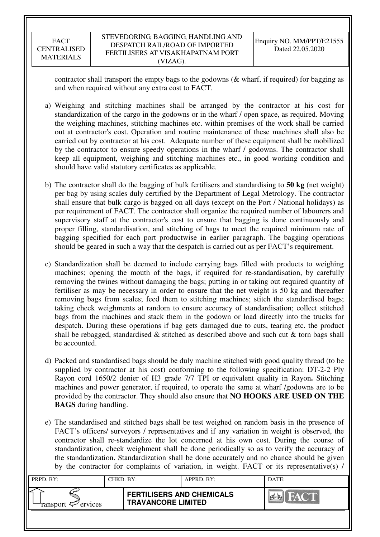contractor shall transport the empty bags to the godowns (& wharf, if required) for bagging as and when required without any extra cost to FACT.

- a) Weighing and stitching machines shall be arranged by the contractor at his cost for standardization of the cargo in the godowns or in the wharf / open space, as required. Moving the weighing machines, stitching machines etc. within premises of the work shall be carried out at contractor's cost. Operation and routine maintenance of these machines shall also be carried out by contractor at his cost. Adequate number of these equipment shall be mobilized by the contractor to ensure speedy operations in the wharf / godowns. The contractor shall keep all equipment, weighing and stitching machines etc., in good working condition and should have valid statutory certificates as applicable.
- b) The contractor shall do the bagging of bulk fertilisers and standardising to **50 kg** (net weight) per bag by using scales duly certified by the Department of Legal Metrology. The contractor shall ensure that bulk cargo is bagged on all days (except on the Port / National holidays) as per requirement of FACT. The contractor shall organize the required number of labourers and supervisory staff at the contractor's cost to ensure that bagging is done continuously and proper filling, standardisation, and stitching of bags to meet the required minimum rate of bagging specified for each port productwise in earlier paragraph. The bagging operations should be geared in such a way that the despatch is carried out as per FACT's requirement.
- c) Standardization shall be deemed to include carrying bags filled with products to weighing machines; opening the mouth of the bags, if required for re-standardisation, by carefully removing the twines without damaging the bags; putting in or taking out required quantity of fertiliser as may be necessary in order to ensure that the net weight is 50 kg and thereafter removing bags from scales; feed them to stitching machines; stitch the standardised bags; taking check weighments at random to ensure accuracy of standardisation; collect stitched bags from the machines and stack them in the godown or load directly into the trucks for despatch. During these operations if bag gets damaged due to cuts, tearing etc. the product shall be rebagged, standardised  $\&$  stitched as described above and such cut  $\&$  torn bags shall be accounted.
- d) Packed and standardised bags should be duly machine stitched with good quality thread (to be supplied by contractor at his cost) conforming to the following specification: DT-2-2 Ply Rayon cord 1650/2 denier of H3 grade 7/7 TPI or equivalent quality in Rayon**.** Stitching machines and power generator, if required, to operate the same at wharf /godowns are to be provided by the contractor. They should also ensure that **NO HOOKS ARE USED ON THE BAGS** during handling.
- e) The standardised and stitched bags shall be test weighed on random basis in the presence of FACT's officers/ surveyors / representatives and if any variation in weight is observed, the contractor shall re-standardize the lot concerned at his own cost. During the course of standardization, check weighment shall be done periodically so as to verify the accuracy of the standardization. Standardization shall be done accurately and no chance should be given by the contractor for complaints of variation, in weight. FACT or its representative(s) /

| PRPD. BY:              | CHKD. BY: |                                                               | APPRD. BY: | DATE:                               |
|------------------------|-----------|---------------------------------------------------------------|------------|-------------------------------------|
| ransport $\ll$ ervices |           | <b>FERTILISERS AND CHEMICALS</b><br><b>TRAVANCORE LIMITED</b> |            | <b>THE YAY ONE DE</b><br>I Corea Ka |
|                        |           |                                                               |            |                                     |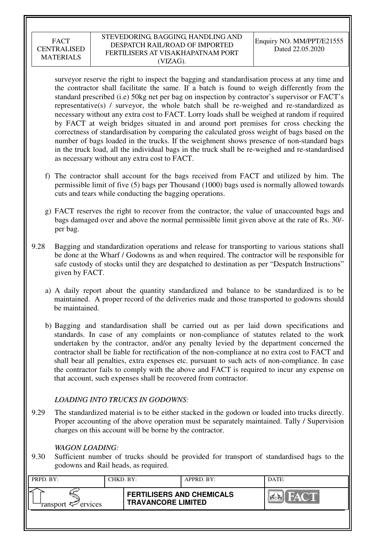### STEVEDORING, BAGGING, HANDLING AND DESPATCH RAIL/ROAD OF IMPORTED FERTILISERS AT VISAKHAPATNAM PORT (VIZAG).

surveyor reserve the right to inspect the bagging and standardisation process at any time and the contractor shall facilitate the same. If a batch is found to weigh differently from the standard prescribed (i.e) 50kg net per bag on inspection by contractor's supervisor or FACT's representative(s) / surveyor, the whole batch shall be re-weighed and re-standardized as necessary without any extra cost to FACT. Lorry loads shall be weighed at random if required by FACT at weigh bridges situated in and around port premises for cross checking the correctness of standardisation by comparing the calculated gross weight of bags based on the number of bags loaded in the trucks. If the weighment shows presence of non-standard bags in the truck load, all the individual bags in the truck shall be re-weighed and re-standardised as necessary without any extra cost to FACT.

- f) The contractor shall account for the bags received from FACT and utilized by him. The permissible limit of five (5) bags per Thousand (1000) bags used is normally allowed towards cuts and tears while conducting the bagging operations.
- g) FACT reserves the right to recover from the contractor, the value of unaccounted bags and bags damaged over and above the normal permissible limit given above at the rate of Rs. 30/ per bag.
- 9.28 Bagging and standardization operations and release for transporting to various stations shall be done at the Wharf / Godowns as and when required. The contractor will be responsible for safe custody of stocks until they are despatched to destination as per "Despatch Instructions" given by FACT.
	- a) A daily report about the quantity standardized and balance to be standardized is to be maintained. A proper record of the deliveries made and those transported to godowns should be maintained.
	- b) Bagging and standardisation shall be carried out as per laid down specifications and standards. In case of any complaints or non-compliance of statutes related to the work undertaken by the contractor, and/or any penalty levied by the department concerned the contractor shall be liable for rectification of the non-compliance at no extra cost to FACT and shall bear all penalties, extra expenses etc. pursuant to such acts of non-compliance. In case the contractor fails to comply with the above and FACT is required to incur any expense on that account, such expenses shall be recovered from contractor.

# *LOADING INTO TRUCKS IN GODOWNS:*

9.29 The standardized material is to be either stacked in the godown or loaded into trucks directly. Proper accounting of the above operation must be separately maintained. Tally / Supervision charges on this account will be borne by the contractor.

## *WAGON LOADING:*

9.30 Sufficient number of trucks should be provided for transport of standardised bags to the godowns and Rail heads, as required.

| PRPD. BY:                     | CHKD. BY: |                                                               | APPRD. BY: | DATE: |
|-------------------------------|-----------|---------------------------------------------------------------|------------|-------|
| ransport <sup>2</sup> ervices |           | <b>FERTILISERS AND CHEMICALS</b><br><b>TRAVANCORE LIMITED</b> |            | HAC'T |
|                               |           |                                                               |            |       |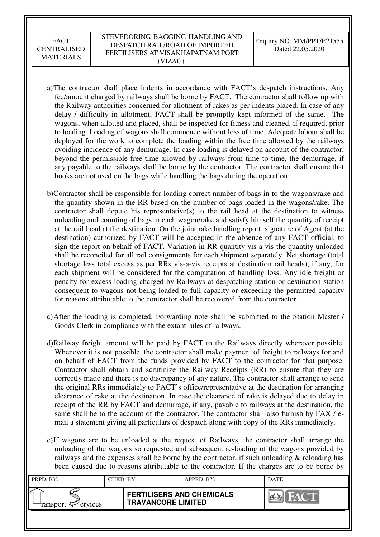- a)The contractor shall place indents in accordance with FACT's despatch instructions. Any fee/amount charged by railways shall be borne by FACT. The contractor shall follow up with the Railway authorities concerned for allotment of rakes as per indents placed. In case of any delay / difficulty in allotment, FACT shall be promptly kept informed of the same. The wagons, when allotted and placed, shall be inspected for fitness and cleaned, if required, prior to loading. Loading of wagons shall commence without loss of time. Adequate labour shall be deployed for the work to complete the loading within the free time allowed by the railways avoiding incidence of any demurrage. In case loading is delayed on account of the contractor, beyond the permissible free-time allowed by railways from time to time, the demurrage, if any payable to the railways shall be borne by the contractor. The contractor shall ensure that hooks are not used on the bags while handling the bags during the operation.
- b)Contractor shall be responsible for loading correct number of bags in to the wagons/rake and the quantity shown in the RR based on the number of bags loaded in the wagons/rake. The contractor shall depute his representative(s) to the rail head at the destination to witness unloading and counting of bags in each wagon/rake and satisfy himself the quantity of receipt at the rail head at the destination. On the joint rake handling report, signature of Agent (at the destination) authorized by FACT will be accepted in the absence of any FACT official, to sign the report on behalf of FACT. Variation in RR quantity vis-a-vis the quantity unloaded shall be reconciled for all rail consignments for each shipment separately. Net shortage (total shortage less total excess as per RRs vis-a-vis receipts at destination rail heads), if any, for each shipment will be considered for the computation of handling loss. Any idle freight or penalty for excess loading charged by Railways at despatching station or destination station consequent to wagons not being loaded to full capacity or exceeding the permitted capacity for reasons attributable to the contractor shall be recovered from the contractor.
- c)After the loading is completed, Forwarding note shall be submitted to the Station Master / Goods Clerk in compliance with the extant rules of railways.
- d)Railway freight amount will be paid by FACT to the Railways directly wherever possible. Whenever it is not possible, the contractor shall make payment of freight to railways for and on behalf of FACT from the funds provided by FACT to the contractor for that purpose. Contractor shall obtain and scrutinize the Railway Receipts (RR) to ensure that they are correctly made and there is no discrepancy of any nature. The contractor shall arrange to send the original RRs immediately to FACT's office/representative at the destination for arranging clearance of rake at the destination. In case the clearance of rake is delayed due to delay in receipt of the RR by FACT and demurrage, if any, payable to railways at the destination, the same shall be to the account of the contractor. The contractor shall also furnish by FAX / email a statement giving all particulars of despatch along with copy of the RRs immediately.
- e)If wagons are to be unloaded at the request of Railways, the contractor shall arrange the unloading of the wagons so requested and subsequent re-loading of the wagons provided by railways and the expenses shall be borne by the contractor, if such unloading  $\&$  reloading has been caused due to reasons attributable to the contractor. If the charges are to be borne by

| PRPD. BY:                 | CHKD. BY: |                                                               | APPRD. BY: | DATE:                          |
|---------------------------|-----------|---------------------------------------------------------------|------------|--------------------------------|
| ransport $\sharp$ ervices |           | <b>FERTILISERS AND CHEMICALS</b><br><b>TRAVANCORE LIMITED</b> |            | <b>THEATER</b><br>$\mathbb{R}$ |
|                           |           |                                                               |            |                                |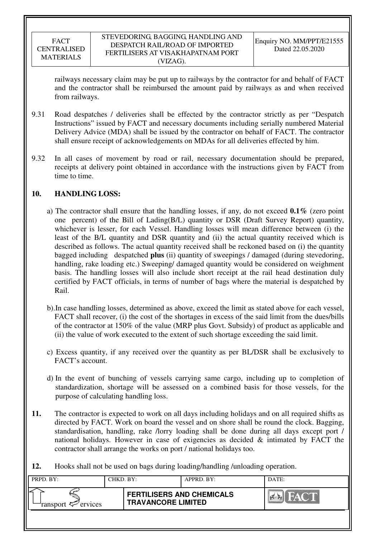railways necessary claim may be put up to railways by the contractor for and behalf of FACT and the contractor shall be reimbursed the amount paid by railways as and when received from railways.

- 9.31 Road despatches / deliveries shall be effected by the contractor strictly as per "Despatch Instructions" issued by FACT and necessary documents including serially numbered Material Delivery Advice (MDA) shall be issued by the contractor on behalf of FACT. The contractor shall ensure receipt of acknowledgements on MDAs for all deliveries effected by him.
- 9.32 In all cases of movement by road or rail, necessary documentation should be prepared, receipts at delivery point obtained in accordance with the instructions given by FACT from time to time.

## **10. HANDLING LOSS:**

- a) The contractor shall ensure that the handling losses, if any, do not exceed **0.1%** (zero point one percent) of the Bill of Lading(B/L) quantity or DSR (Draft Survey Report) quantity, whichever is lesser, for each Vessel. Handling losses will mean difference between (i) the least of the B/L quantity and DSR quantity and (ii) the actual quantity received which is described as follows. The actual quantity received shall be reckoned based on (i) the quantity bagged including despatched **plus** (ii) quantity of sweepings / damaged (during stevedoring, handling, rake loading etc.) Sweeping/ damaged quantity would be considered on weighment basis. The handling losses will also include short receipt at the rail head destination duly certified by FACT officials, in terms of number of bags where the material is despatched by Rail.
- b).In case handling losses, determined as above, exceed the limit as stated above for each vessel, FACT shall recover, (i) the cost of the shortages in excess of the said limit from the dues/bills of the contractor at 150% of the value (MRP plus Govt. Subsidy) of product as applicable and (ii) the value of work executed to the extent of such shortage exceeding the said limit.
- c) Excess quantity, if any received over the quantity as per BL/DSR shall be exclusively to FACT's account.
- d) In the event of bunching of vessels carrying same cargo, including up to completion of standardization, shortage will be assessed on a combined basis for those vessels, for the purpose of calculating handling loss.
- **11.** The contractor is expected to work on all days including holidays and on all required shifts as directed by FACT. Work on board the vessel and on shore shall be round the clock. Bagging, standardisation, handling, rake /lorry loading shall be done during all days except port / national holidays. However in case of exigencies as decided & intimated by FACT the contractor shall arrange the works on port / national holidays too.
- **12.** Hooks shall not be used on bags during loading/handling /unloading operation.

| PRPD. BY:              | CHKD. BY: |                                                               | APPRD. BY: | DATE:       |
|------------------------|-----------|---------------------------------------------------------------|------------|-------------|
| ransport $\ll$ ervices |           | <b>FERTILISERS AND CHEMICALS</b><br><b>TRAVANCORE LIMITED</b> |            | <b>FACT</b> |
|                        |           |                                                               |            |             |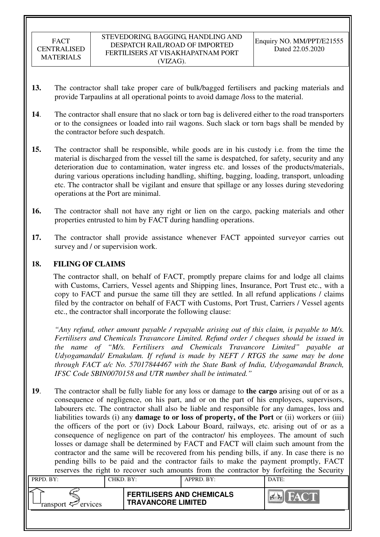- **13.** The contractor shall take proper care of bulk/bagged fertilisers and packing materials and provide Tarpaulins at all operational points to avoid damage /loss to the material.
- **14**. The contractor shall ensure that no slack or torn bag is delivered either to the road transporters or to the consignees or loaded into rail wagons. Such slack or torn bags shall be mended by the contractor before such despatch.
- **15.** The contractor shall be responsible, while goods are in his custody i.e. from the time the material is discharged from the vessel till the same is despatched, for safety, security and any deterioration due to contamination, water ingress etc. and losses of the products/materials, during various operations including handling, shifting, bagging, loading, transport, unloading etc. The contractor shall be vigilant and ensure that spillage or any losses during stevedoring operations at the Port are minimal.
- **16.** The contractor shall not have any right or lien on the cargo, packing materials and other properties entrusted to him by FACT during handling operations.
- **17.** The contractor shall provide assistance whenever FACT appointed surveyor carries out survey and / or supervision work.

## **18. FILING OF CLAIMS**

The contractor shall, on behalf of FACT, promptly prepare claims for and lodge all claims with Customs, Carriers, Vessel agents and Shipping lines, Insurance, Port Trust etc., with a copy to FACT and pursue the same till they are settled. In all refund applications / claims filed by the contractor on behalf of FACT with Customs, Port Trust, Carriers / Vessel agents etc., the contractor shall incorporate the following clause:

*"Any refund, other amount payable / repayable arising out of this claim, is payable to M/s. Fertilisers and Chemicals Travancore Limited. Refund order / cheques should be issued in the name of "M/s. Fertilisers and Chemicals Travancore Limited" payable at Udyogamandal/ Ernakulam. If refund is made by NEFT / RTGS the same may be done through FACT a/c No. 57017844467 with the State Bank of India, Udyogamandal Branch, IFSC Code SBIN0070158 and UTR number shall be intimated."* 

**19**. The contractor shall be fully liable for any loss or damage to **the cargo** arising out of or as a consequence of negligence, on his part, and or on the part of his employees, supervisors, labourers etc. The contractor shall also be liable and responsible for any damages, loss and liabilities towards (i) any **damage to or loss of property, of the Port** or (ii) workers or (iii) the officers of the port or (iv) Dock Labour Board, railways, etc. arising out of or as a consequence of negligence on part of the contractor/ his employees. The amount of such losses or damage shall be determined by FACT and FACT will claim such amount from the contractor and the same will be recovered from his pending bills, if any. In case there is no pending bills to be paid and the contractor fails to make the payment promptly, FACT reserves the right to recover such amounts from the contractor by forfeiting the Security

| PRPD. BY:                                                                                                                                                   | CHKD. BY: |                                                               | APPRD. BY: | DATE: |  |
|-------------------------------------------------------------------------------------------------------------------------------------------------------------|-----------|---------------------------------------------------------------|------------|-------|--|
| ransport <represent< td=""><th></th><td colspan="2"><b>FERTILISERS AND CHEMICALS</b><br/><b>TRAVANCORE LIMITED</b></td><td>FACT.</td><td></td></represent<> |           | <b>FERTILISERS AND CHEMICALS</b><br><b>TRAVANCORE LIMITED</b> |            | FACT. |  |
|                                                                                                                                                             |           |                                                               |            |       |  |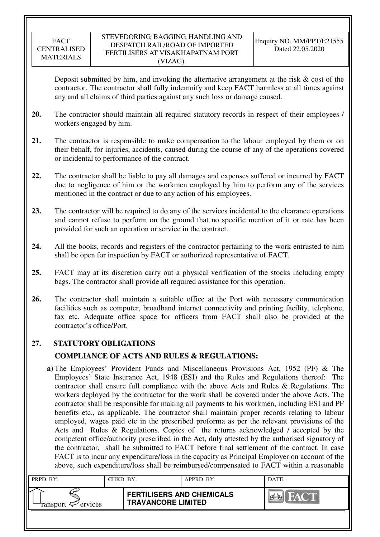Deposit submitted by him, and invoking the alternative arrangement at the risk  $\&$  cost of the contractor. The contractor shall fully indemnify and keep FACT harmless at all times against any and all claims of third parties against any such loss or damage caused.

- **20.** The contractor should maintain all required statutory records in respect of their employees / workers engaged by him.
- **21.** The contractor is responsible to make compensation to the labour employed by them or on their behalf, for injuries, accidents, caused during the course of any of the operations covered or incidental to performance of the contract.
- **22.** The contractor shall be liable to pay all damages and expenses suffered or incurred by FACT due to negligence of him or the workmen employed by him to perform any of the services mentioned in the contract or due to any action of his employees.
- **23.** The contractor will be required to do any of the services incidental to the clearance operations and cannot refuse to perform on the ground that no specific mention of it or rate has been provided for such an operation or service in the contract.
- **24.** All the books, records and registers of the contractor pertaining to the work entrusted to him shall be open for inspection by FACT or authorized representative of FACT.
- **25.** FACT may at its discretion carry out a physical verification of the stocks including empty bags. The contractor shall provide all required assistance for this operation.
- **26.** The contractor shall maintain a suitable office at the Port with necessary communication facilities such as computer, broadband internet connectivity and printing facility, telephone, fax etc. Adequate office space for officers from FACT shall also be provided at the contractor's office/Port.

# **27. STATUTORY OBLIGATIONS**

# **COMPLIANCE OF ACTS AND RULES & REGULATIONS:**

 **a)** The Employees' Provident Funds and Miscellaneous Provisions Act, 1952 (PF) & The Employees' State Insurance Act, 1948 (ESI) and the Rules and Regulations thereof: The contractor shall ensure full compliance with the above Acts and Rules & Regulations. The workers deployed by the contractor for the work shall be covered under the above Acts. The contractor shall be responsible for making all payments to his workmen, including ESI and PF benefits etc., as applicable. The contractor shall maintain proper records relating to labour employed, wages paid etc in the prescribed proforma as per the relevant provisions of the Acts and Rules & Regulations. Copies of the returns acknowledged / accepted by the competent office/authority prescribed in the Act, duly attested by the authorised signatory of the contractor, shall be submitted to FACT before final settlement of the contract. In case FACT is to incur any expenditure/loss in the capacity as Principal Employer on account of the above, such expenditure/loss shall be reimbursed/compensated to FACT within a reasonable

| PRPD. BY:              | CHKD, BY: |                                                               | APPRD. BY: | DATE: |
|------------------------|-----------|---------------------------------------------------------------|------------|-------|
| ransport $\ll$ ervices |           | <b>FERTILISERS AND CHEMICALS</b><br><b>TRAVANCORE LIMITED</b> |            |       |
|                        |           |                                                               |            |       |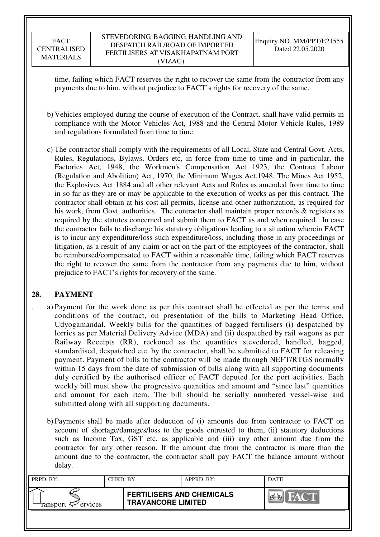time, failing which FACT reserves the right to recover the same from the contractor from any payments due to him, without prejudice to FACT's rights for recovery of the same.

- b) Vehicles employed during the course of execution of the Contract, shall have valid permits in compliance with the Motor Vehicles Act, 1988 and the Central Motor Vehicle Rules, 1989 and regulations formulated from time to time.
- c) The contractor shall comply with the requirements of all Local, State and Central Govt. Acts, Rules, Regulations, Bylaws, Orders etc, in force from time to time and in particular, the Factories Act, 1948, the Workmen's Compensation Act 1923, the Contract Labour (Regulation and Abolition) Act, 1970, the Minimum Wages Act,1948, The Mines Act 1952, the Explosives Act 1884 and all other relevant Acts and Rules as amended from time to time in so far as they are or may be applicable to the execution of works as per this contract. The contractor shall obtain at his cost all permits, license and other authorization, as required for his work, from Govt. authorities. The contractor shall maintain proper records & registers as required by the statutes concerned and submit them to FACT as and when required. In case the contractor fails to discharge his statutory obligations leading to a situation wherein FACT is to incur any expenditure/loss such expenditure/loss, including those in any proceedings or litigation, as a result of any claim or act on the part of the employees of the contractor, shall be reimbursed/compensated to FACT within a reasonable time, failing which FACT reserves the right to recover the same from the contractor from any payments due to him, without prejudice to FACT's rights for recovery of the same.

# **28. PAYMENT**

- . a) Payment for the work done as per this contract shall be effected as per the terms and conditions of the contract, on presentation of the bills to Marketing Head Office, Udyogamandal. Weekly bills for the quantities of bagged fertilisers (i) despatched by lorries as per Material Delivery Advice (MDA) and (ii) despatched by rail wagons as per Railway Receipts (RR), reckoned as the quantities stevedored, handled, bagged, standardised, despatched etc. by the contractor, shall be submitted to FACT for releasing payment. Payment of bills to the contractor will be made through NEFT/RTGS normally within 15 days from the date of submission of bills along with all supporting documents duly certified by the authorised officer of FACT deputed for the port activities. Each weekly bill must show the progressive quantities and amount and "since last" quantities and amount for each item. The bill should be serially numbered vessel-wise and submitted along with all supporting documents.
	- b) Payments shall be made after deduction of (i) amounts due from contractor to FACT on account of shortage/damages/loss to the goods entrusted to them, (ii) statutory deductions such as Income Tax, GST etc. as applicable and (iii) any other amount due from the contractor for any other reason. If the amount due from the contractor is more than the amount due to the contractor, the contractor shall pay FACT the balance amount without delay.

| PRPD. BY:                                | CHKD. BY: |                                                               | APPRD. BY: | DATE:                 |
|------------------------------------------|-----------|---------------------------------------------------------------|------------|-----------------------|
| ransport $\epsilon$ <sup>-</sup> ervices |           | <b>FERTILISERS AND CHEMICALS</b><br><b>TRAVANCORE LIMITED</b> |            | <b>FACT</b><br>I PIER |
|                                          |           |                                                               |            |                       |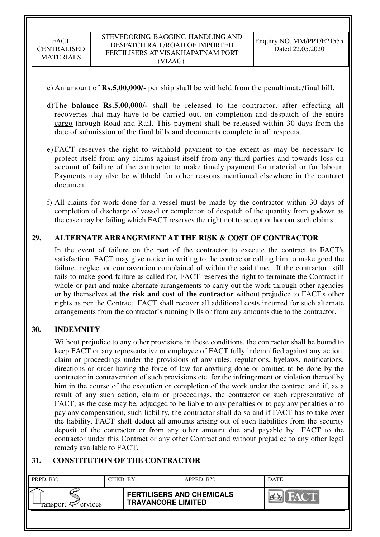- c) An amount of **Rs.5,00,000/-** per ship shall be withheld from the penultimate/final bill.
- d) The **balance Rs.5,00,000/-** shall be released to the contractor, after effecting all recoveries that may have to be carried out, on completion and despatch of the entire cargo through Road and Rail. This payment shall be released within 30 days from the date of submission of the final bills and documents complete in all respects.
- e) FACT reserves the right to withhold payment to the extent as may be necessary to protect itself from any claims against itself from any third parties and towards loss on account of failure of the contractor to make timely payment for material or for labour. Payments may also be withheld for other reasons mentioned elsewhere in the contract document.
- f) All claims for work done for a vessel must be made by the contractor within 30 days of completion of discharge of vessel or completion of despatch of the quantity from godown as the case may be failing which FACT reserves the right not to accept or honour such claims.

## **29. ALTERNATE ARRANGEMENT AT THE RISK & COST OF CONTRACTOR**

In the event of failure on the part of the contractor to execute the contract to FACT's satisfaction FACT may give notice in writing to the contractor calling him to make good the failure, neglect or contravention complained of within the said time. If the contractor still fails to make good failure as called for, FACT reserves the right to terminate the Contract in whole or part and make alternate arrangements to carry out the work through other agencies or by themselves **at the risk and cost of the contractor** without prejudice to FACT's other rights as per the Contract. FACT shall recover all additional costs incurred for such alternate arrangements from the contractor's running bills or from any amounts due to the contractor.

### **30. INDEMNITY**

Without prejudice to any other provisions in these conditions, the contractor shall be bound to keep FACT or any representative or employee of FACT fully indemnified against any action, claim or proceedings under the provisions of any rules, regulations, byelaws, notifications, directions or order having the force of law for anything done or omitted to be done by the contractor in contravention of such provisions etc. for the infringement or violation thereof by him in the course of the execution or completion of the work under the contract and if, as a result of any such action, claim or proceedings, the contractor or such representative of FACT, as the case may be, adjudged to be liable to any penalties or to pay any penalties or to pay any compensation, such liability, the contractor shall do so and if FACT has to take-over the liability, FACT shall deduct all amounts arising out of such liabilities from the security deposit of the contractor or from any other amount due and payable by FACT to the contractor under this Contract or any other Contract and without prejudice to any other legal remedy available to FACT.

## **31. CONSTITUTION OF THE CONTRACTOR**

| PRPD. BY:                     | CHKD. BY: |                                                               | APPRD. BY: | DATE:                        |
|-------------------------------|-----------|---------------------------------------------------------------|------------|------------------------------|
| ransport <sup>2</sup> ervices |           | <b>FERTILISERS AND CHEMICALS</b><br><b>TRAVANCORE LIMITED</b> |            | <b>FACT</b><br>$\sim$ $\sim$ |
|                               |           |                                                               |            |                              |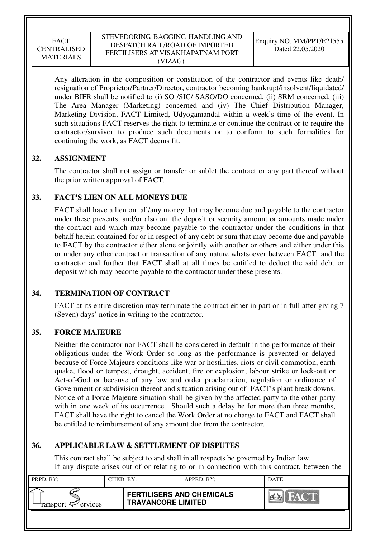### STEVEDORING, BAGGING, HANDLING AND DESPATCH RAIL/ROAD OF IMPORTED FERTILISERS AT VISAKHAPATNAM PORT (VIZAG).

Any alteration in the composition or constitution of the contractor and events like death/ resignation of Proprietor/Partner/Director, contractor becoming bankrupt/insolvent/liquidated/ under BIFR shall be notified to (i) SO /SIC/ SASO/DO concerned, (ii) SRM concerned, (iii) The Area Manager (Marketing) concerned and (iv) The Chief Distribution Manager, Marketing Division, FACT Limited, Udyogamandal within a week's time of the event. In such situations FACT reserves the right to terminate or continue the contract or to require the contractor/survivor to produce such documents or to conform to such formalities for continuing the work, as FACT deems fit.

## **32. ASSIGNMENT**

The contractor shall not assign or transfer or sublet the contract or any part thereof without the prior written approval of FACT.

# **33. FACT'S LIEN ON ALL MONEYS DUE**

FACT shall have a lien on all/any money that may become due and payable to the contractor under these presents, and/or also on the deposit or security amount or amounts made under the contract and which may become payable to the contractor under the conditions in that behalf herein contained for or in respect of any debt or sum that may become due and payable to FACT by the contractor either alone or jointly with another or others and either under this or under any other contract or transaction of any nature whatsoever between FACT and the contractor and further that FACT shall at all times be entitled to deduct the said debt or deposit which may become payable to the contractor under these presents.

# **34. TERMINATION OF CONTRACT**

FACT at its entire discretion may terminate the contract either in part or in full after giving 7 (Seven) days' notice in writing to the contractor.

## **35. FORCE MAJEURE**

Neither the contractor nor FACT shall be considered in default in the performance of their obligations under the Work Order so long as the performance is prevented or delayed because of Force Majeure conditions like war or hostilities, riots or civil commotion, earth quake, flood or tempest, drought, accident, fire or explosion, labour strike or lock-out or Act-of-God or because of any law and order proclamation, regulation or ordinance of Government or subdivision thereof and situation arising out of FACT's plant break downs. Notice of a Force Majeure situation shall be given by the affected party to the other party with in one week of its occurrence. Should such a delay be for more than three months, FACT shall have the right to cancel the Work Order at no charge to FACT and FACT shall be entitled to reimbursement of any amount due from the contractor.

# **36. APPLICABLE LAW & SETTLEMENT OF DISPUTES**

This contract shall be subject to and shall in all respects be governed by Indian law. If any dispute arises out of or relating to or in connection with this contract, between the

| PRPD. BY:              | CHKD. BY: |                                                               | APPRD. BY: | DATE:          |
|------------------------|-----------|---------------------------------------------------------------|------------|----------------|
| ransport $\ll$ ervices |           | <b>FERTILISERS AND CHEMICALS</b><br><b>TRAVANCORE LIMITED</b> |            | FACT<br>$\sim$ |
|                        |           |                                                               |            |                |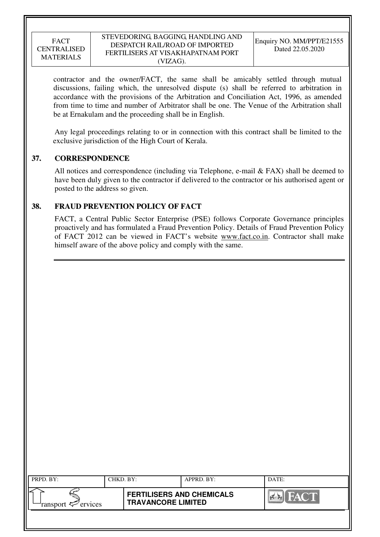### STEVEDORING, BAGGING, HANDLING AND DESPATCH RAIL/ROAD OF IMPORTED FERTILISERS AT VISAKHAPATNAM PORT (VIZAG).

contractor and the owner/FACT, the same shall be amicably settled through mutual discussions, failing which, the unresolved dispute (s) shall be referred to arbitration in accordance with the provisions of the Arbitration and Conciliation Act, 1996, as amended from time to time and number of Arbitrator shall be one. The Venue of the Arbitration shall be at Ernakulam and the proceeding shall be in English.

 Any legal proceedings relating to or in connection with this contract shall be limited to the exclusive jurisdiction of the High Court of Kerala.

## **37. CORRESPONDENCE**

All notices and correspondence (including via Telephone, e-mail & FAX) shall be deemed to have been duly given to the contractor if delivered to the contractor or his authorised agent or posted to the address so given.

## **38. FRAUD PREVENTION POLICY OF FACT**

FACT, a Central Public Sector Enterprise (PSE) follows Corporate Governance principles proactively and has formulated a Fraud Prevention Policy. Details of Fraud Prevention Policy of FACT 2012 can be viewed in FACT's website www.fact.co.in. Contractor shall make himself aware of the above policy and comply with the same.

| $\mathsf{I}\mathsf{I}$<br>PRPD. BY:                 | CHKD. BY: |                                                               | APPRD. BY: | DATE:                  |
|-----------------------------------------------------|-----------|---------------------------------------------------------------|------------|------------------------|
| $\Vert \text{ }$<br>ransport <sup>exp</sup> ervices |           | <b>FERTILISERS AND CHEMICALS</b><br><b>TRAVANCORE LIMITED</b> |            | <b>FACT</b><br>$7 - 1$ |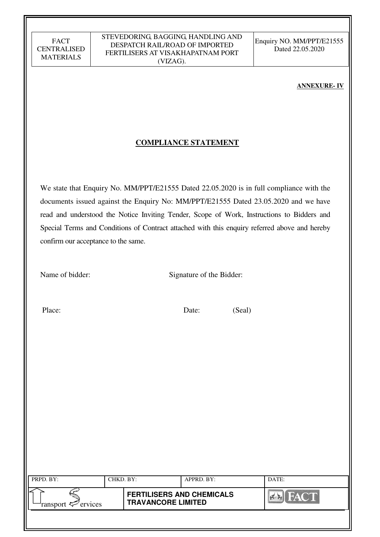### **ANNEXURE- IV**

## **COMPLIANCE STATEMENT**

We state that Enquiry No. MM/PPT/E21555 Dated 22.05.2020 is in full compliance with the documents issued against the Enquiry No: MM/PPT/E21555 Dated 23.05.2020 and we have read and understood the Notice Inviting Tender, Scope of Work, Instructions to Bidders and Special Terms and Conditions of Contract attached with this enquiry referred above and hereby confirm our acceptance to the same.

Name of bidder: Signature of the Bidder:

Place: Date: (Seal)

| PRPD. BY:              | CHKD. BY: |                                                               | APPRD. BY: | DATE: |
|------------------------|-----------|---------------------------------------------------------------|------------|-------|
| ransport $\ll$ ervices |           | <b>FERTILISERS AND CHEMICALS</b><br><b>TRAVANCORE LIMITED</b> |            |       |
|                        |           |                                                               |            |       |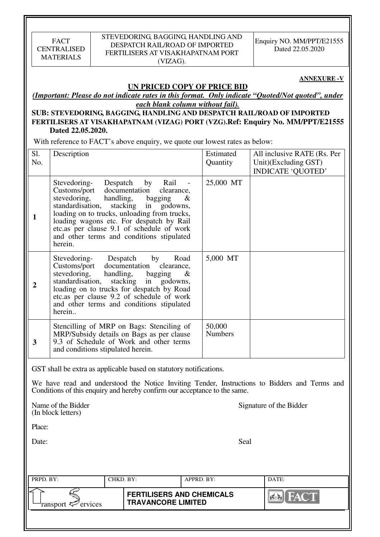### STEVEDORING, BAGGING, HANDLING AND DESPATCH RAIL/ROAD OF IMPORTED FERTILISERS AT VISAKHAPATNAM PORT (VIZAG).

Enquiry NO. MM/PPT/E21555 Dated 22.05.2020

#### **ANNEXURE -V**

### **UN PRICED COPY OF PRICE BID**

*(Important: Please do not indicate rates in this format. Only indicate "Quoted/Not quoted", under each blank column without fail).* 

### **SUB: STEVEDORING, BAGGING, HANDLING AND DESPATCH RAIL/ROAD OF IMPORTED FERTILISERS AT VISAKHAPATNAM (VIZAG) PORT (VZG).Ref: Enquiry No. MM/PPT/E21555 Dated 22.05.2020.**

With reference to FACT's above enquiry, we quote our lowest rates as below:

| Sl.<br>No.     | Description                                                                                                                                                                                                                                                                                                                                                                           | Estimated<br>Quantity    | All inclusive RATE (Rs. Per<br>Unit)(Excluding GST)<br><b>INDICATE 'QUOTED'</b> |
|----------------|---------------------------------------------------------------------------------------------------------------------------------------------------------------------------------------------------------------------------------------------------------------------------------------------------------------------------------------------------------------------------------------|--------------------------|---------------------------------------------------------------------------------|
| $\mathbf{1}$   | Stevedoring-<br>Despatch<br>Rail<br>by<br>documentation<br>Customs/port<br>clearance,<br>stevedoring,<br>handling,<br>bagging<br>&<br>standardisation,<br>in<br>stacking<br>godowns,<br>loading on to trucks, unloading from trucks,<br>loading wagons etc. For despatch by Rail<br>etc.as per clause 9.1 of schedule of work<br>and other terms and conditions stipulated<br>herein. | 25,000 MT                |                                                                                 |
| $\overline{2}$ | Stevedoring-<br>Despatch<br>by<br>Road<br>documentation<br>Customs/port<br>clearance,<br>handling,<br>stevedoring,<br>bagging<br>&<br>standardisation,<br>stacking<br>godowns,<br>in<br>loading on to trucks for despatch by Road<br>etc.as per clause 9.2 of schedule of work<br>and other terms and conditions stipulated<br>herein                                                 | 5,000 MT                 |                                                                                 |
| $\mathbf{3}$   | Stencilling of MRP on Bags: Stenciling of<br>MRP/Subsidy details on Bags as per clause<br>9.3 of Schedule of Work and other terms<br>and conditions stipulated herein.                                                                                                                                                                                                                | 50,000<br><b>Numbers</b> |                                                                                 |
|                | GST shall be extra as applicable based on statutory notifications.                                                                                                                                                                                                                                                                                                                    |                          |                                                                                 |
|                | We have read and understood the Notice Inviting Tender, Instructions to Bidders and Terms and<br>Conditions of this enquiry and hereby confirm our acceptance to the same.                                                                                                                                                                                                            |                          |                                                                                 |
|                | Name of the Bidder<br>(In block letters)                                                                                                                                                                                                                                                                                                                                              |                          | Signature of the Bidder                                                         |
| Place:         |                                                                                                                                                                                                                                                                                                                                                                                       |                          |                                                                                 |
| Date:          |                                                                                                                                                                                                                                                                                                                                                                                       | Seal                     |                                                                                 |
|                |                                                                                                                                                                                                                                                                                                                                                                                       |                          |                                                                                 |

| PRPD. BY:           | CHKD. BY: |                                                               | APPRD. BY: | DATE:                      |
|---------------------|-----------|---------------------------------------------------------------|------------|----------------------------|
| ransport <= ervices |           | <b>FERTILISERS AND CHEMICALS</b><br><b>TRAVANCORE LIMITED</b> |            | <b>AND P</b><br><b>TAX</b> |
|                     |           |                                                               |            |                            |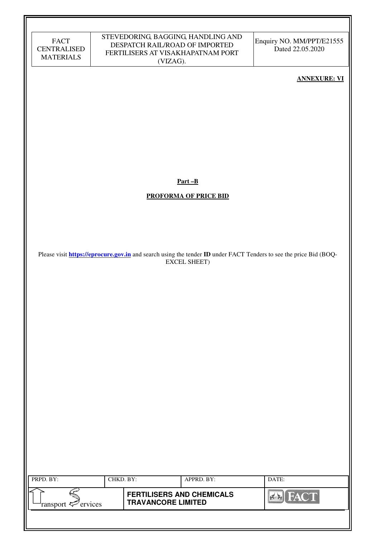| FACT               |
|--------------------|
| <b>CENTRALISED</b> |
| <b>MATERIALS</b>   |

Enquiry NO. MM/PPT/E21555 Dated 22.05.2020

### **ANNEXURE: VI**

**Part –B** 

### **PROFORMA OF PRICE BID**

Please visit **https://eprocure.gov.in** and search using the tender **ID** under FACT Tenders to see the price Bid (BOQ-EXCEL SHEET)

| PRPD. BY:                      | CHKD. BY: |                                                               | APPRD. BY: | DATE:       |
|--------------------------------|-----------|---------------------------------------------------------------|------------|-------------|
| ransport $\mathcal{P}$ ervices |           | <b>FERTILISERS AND CHEMICALS</b><br><b>TRAVANCORE LIMITED</b> |            | <b>FACT</b> |
|                                |           |                                                               |            |             |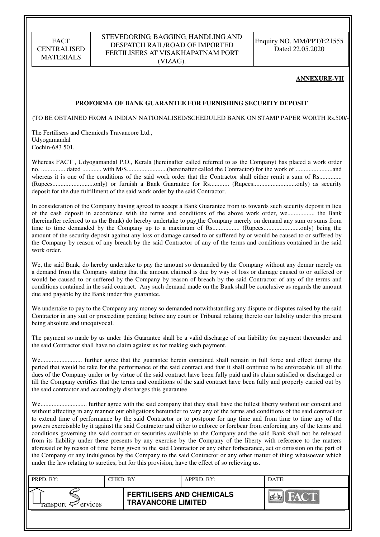#### STEVEDORING, BAGGING, HANDLING AND DESPATCH RAIL/ROAD OF IMPORTED FERTILISERS AT VISAKHAPATNAM PORT (VIZAG).

Enquiry NO. MM/PPT/E21555 Dated 22.05.2020

#### **ANNEXURE-VII**

#### **PROFORMA OF BANK GUARANTEE FOR FURNISHING SECURITY DEPOSIT**

(TO BE OBTAINED FROM A INDIAN NATIONALISED/SCHEDULED BANK ON STAMP PAPER WORTH Rs.500/-)

The Fertilisers and Chemicals Travancore Ltd., Udyogamandal Cochin-683 501.

Whereas FACT , Udyogamandal P.O., Kerala (hereinafter called referred to as the Company) has placed a work order no. ............... dated ............ with M/S.........................(hereinafter called the Contractor) for the work of .......................and whereas it is one of the conditions of the said work order that the Contractor shall either remit a sum of Rs............... (Rupees..........................only) or furnish a Bank Guarantee for Rs............ (Rupees...........................only) as security deposit for the due fulfillment of the said work order by the said Contractor.

In consideration of the Company having agreed to accept a Bank Guarantee from us towards such security deposit in lieu of the cash deposit in accordance with the terms and conditions of the above work order, we................. the Bank (hereinafter referred to as the Bank) do hereby undertake to pay the Company merely on demand any sum or sums from time to time demanded by the Company up to a maximum of Rs................. (Rupees.......................only) being the amount of the security deposit against any loss or damage caused to or suffered by or would be caused to or suffered by the Company by reason of any breach by the said Contractor of any of the terms and conditions contained in the said work order.

We, the said Bank, do hereby undertake to pay the amount so demanded by the Company without any demur merely on a demand from the Company stating that the amount claimed is due by way of loss or damage caused to or suffered or would be caused to or suffered by the Company by reason of breach by the said Contractor of any of the terms and conditions contained in the said contract. Any such demand made on the Bank shall be conclusive as regards the amount due and payable by the Bank under this guarantee.

We undertake to pay to the Company any money so demanded notwithstanding any dispute or disputes raised by the said Contractor in any suit or proceeding pending before any court or Tribunal relating thereto our liability under this present being absolute and unequivocal.

The payment so made by us under this Guarantee shall be a valid discharge of our liability for payment thereunder and the said Contractor shall have no claim against us for making such payment.

We.......................... further agree that the guarantee herein contained shall remain in full force and effect during the period that would be take for the performance of the said contract and that it shall continue to be enforceable till all the dues of the Company under or by virtue of the said contract have been fully paid and its claim satisfied or discharged or till the Company certifies that the terms and conditions of the said contract have been fully and properly carried out by the said contractor and accordingly discharges this guarantee.

We............................. further agree with the said company that they shall have the fullest liberty without our consent and without affecting in any manner our obligations hereunder to vary any of the terms and conditions of the said contract or to extend time of performance by the said Contractor or to postpone for any time and from time to time any of the powers exercisable by it against the said Contractor and either to enforce or forebear from enforcing any of the terms and conditions governing the said contract or securities available to the Company and the said Bank shall not be released from its liability under these presents by any exercise by the Company of the liberty with reference to the matters aforesaid or by reason of time being given to the said Contractor or any other forbearance, act or omission on the part of the Company or any indulgence by the Company to the said Contractor or any other matter of thing whatsoever which under the law relating to sureties, but for this provision, have the effect of so relieving us.

| PRPD. BY:                     | CHKD. BY: |                                                               | APPRD. BY: | DATE:              |
|-------------------------------|-----------|---------------------------------------------------------------|------------|--------------------|
| ransport <sup>2</sup> ervices |           | <b>FERTILISERS AND CHEMICALS</b><br><b>TRAVANCORE LIMITED</b> |            | <b>THEAT OF BU</b> |
|                               |           |                                                               |            |                    |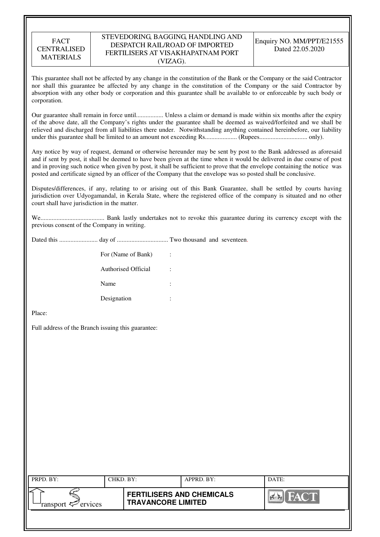#### STEVEDORING, BAGGING, HANDLING AND DESPATCH RAIL/ROAD OF IMPORTED FERTILISERS AT VISAKHAPATNAM PORT (VIZAG).

This guarantee shall not be affected by any change in the constitution of the Bank or the Company or the said Contractor nor shall this guarantee be affected by any change in the constitution of the Company or the said Contractor by absorption with any other body or corporation and this guarantee shall be available to or enforceable by such body or corporation.

Our guarantee shall remain in force until................. Unless a claim or demand is made within six months after the expiry of the above date, all the Company's rights under the guarantee shall be deemed as waived/forfeited and we shall be relieved and discharged from all liabilities there under. Notwithstanding anything contained hereinbefore, our liability under this guarantee shall be limited to an amount not exceeding Rs.................... (Rupees.............................. only).

Any notice by way of request, demand or otherwise hereunder may be sent by post to the Bank addressed as aforesaid and if sent by post, it shall be deemed to have been given at the time when it would be delivered in due course of post and in proving such notice when given by post, it shall be sufficient to prove that the envelope containing the notice was posted and certificate signed by an officer of the Company that the envelope was so posted shall be conclusive.

Disputes/differences, if any, relating to or arising out of this Bank Guarantee, shall be settled by courts having jurisdiction over Udyogamandal, in Kerala State, where the registered office of the company is situated and no other court shall have jurisdiction in the matter.

We........................................ Bank lastly undertakes not to revoke this guarantee during its currency except with the previous consent of the Company in writing.

Dated this ........................ day of ................................ Two thousand and seventeen.

| For (Name of Bank)  | ÷      |
|---------------------|--------|
| Authorised Official | ٠      |
| Name                | ٠<br>٠ |
| Designation         | ٠      |

Place:

Full address of the Branch issuing this guarantee:

| PRPD. BY:                 | CHKD. BY: |                                                               | APPRD. BY: | DATE:              |
|---------------------------|-----------|---------------------------------------------------------------|------------|--------------------|
| ransport $\sharp$ ervices |           | <b>FERTILISERS AND CHEMICALS</b><br><b>TRAVANCORE LIMITED</b> |            | <b>THE PARTIES</b> |
|                           |           |                                                               |            |                    |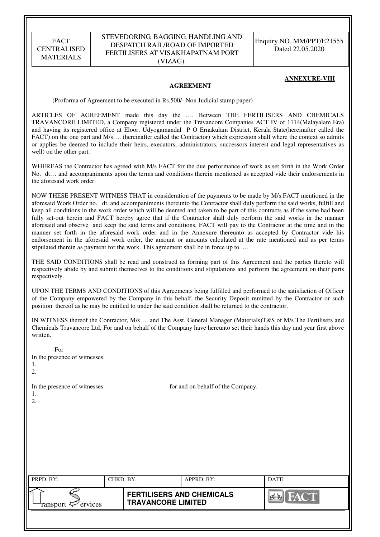#### STEVEDORING, BAGGING, HANDLING AND DESPATCH RAIL/ROAD OF IMPORTED FERTILISERS AT VISAKHAPATNAM PORT (VIZAG).

Enquiry NO. MM/PPT/E21555 Dated 22.05.2020

#### **ANNEXURE-VIII**

#### **AGREEMENT**

(Proforma of Agreement to be executed in Rs.500/- Non Judicial stamp paper)

ARTICLES OF AGREEMENT made this day the …. Between THE FERTILISERS AND CHEMICALS TRAVANCORE LIMITED, a Company registered under the Travancore Companies ACT IV of 1114(Malayalam Era) and having its registered office at Eloor, Udyogamandal P O Ernakulam District, Kerala State(hereinafter called the FACT) on the one part and M/s.... (hereinafter called the Contractor) which expression shall where the context so admits or applies be deemed to include their heirs, executors, administrators, successors interest and legal representatives as well) on the other part.

WHEREAS the Contractor has agreed with M/s FACT for the due performance of work as set forth in the Work Order No. dt… and accompaniments upon the terms and conditions therein mentioned as accepted vide their endorsements in the aforesaid work order.

NOW THESE PRESENT WITNESS THAT in consideration of the payments to be made by M/s FACT mentioned in the aforesaid Work Order no. dt. and accompaniments thereunto the Contractor shall duly perform the said works, fulfill and keep all conditions in the work order which will be deemed and taken to be part of this contracts as if the same had been fully set-out herein and FACT hereby agree that if the Contractor shall duly perform the said works in the manner aforesaid and observe and keep the said terms and conditions, FACT will pay to the Contractor at the time and in the manner set forth in the aforesaid work order and in the Annexure thereunto as accepted by Contractor vide his endorsement in the aforesaid work order, the amount or amounts calculated at the rate mentioned and as per terms stipulated therein as payment for the work. This agreement shall be in force up to …

THE SAID CONDITIONS shall be read and construed as forming part of this Agreement and the parties thereto will respectively abide by and submit themselves to the conditions and stipulations and perform the agreement on their parts respectively.

UPON THE TERMS AND CONDITIONS of this Agreements being fulfilled and performed to the satisfaction of Officer of the Company empowered by the Company in this behalf, the Security Deposit remitted by the Contractor or such position thereof as he may be entitled to under the said condition shall be returned to the contractor.

IN WITNESS thereof the Contractor, M/s…. and The Asst. General Manager (Materials)T&S of M/s The Fertilisers and Chemicals Travancore Ltd, For and on behalf of the Company have hereunto set their hands this day and year first above written.

| For<br>In the presence of witnesses:<br>1.<br>2. |           |                                                               |                                   |             |
|--------------------------------------------------|-----------|---------------------------------------------------------------|-----------------------------------|-------------|
| In the presence of witnesses:<br>1.<br>2.        |           |                                                               | for and on behalf of the Company. |             |
| PRPD. BY:                                        | CHKD. BY: |                                                               | APPRD. BY:                        | DATE:       |
| ransport $\epsilon$ <sup>-</sup> ervices         |           | <b>FERTILISERS AND CHEMICALS</b><br><b>TRAVANCORE LIMITED</b> |                                   | <b>FACT</b> |
|                                                  |           |                                                               |                                   |             |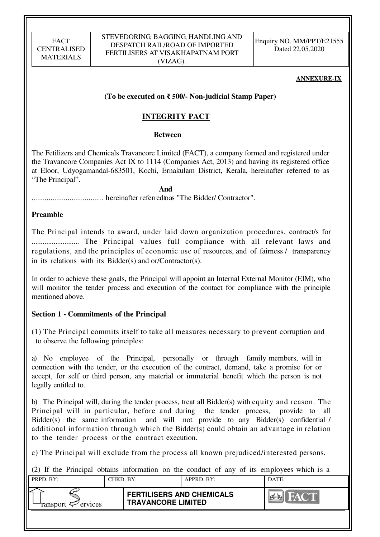Enquiry NO. MM/PPT/E21555 Dated 22.05.2020

### **ANNEXURE-IX**

### **(To be executed on** ₹ **500/- Non-judicial Stamp Paper)**

## **INTEGRITY PACT**

### **Between**

The Fetilizers and Chemicals Travancore Limited (FACT), a company formed and registered under the Travancore Companies Act IX to 1114 (Companies Act, 2013) and having its registered office at Eloor, Udyogamandal-683501, Kochi, Ernakulam District, Kerala, hereinafter referred to as "The Principal".

 **And** 

.................................. hereinafter referred to as "The Bidder/ Contractor".

### **Preamble**

The Principal intends to award, under laid down organization procedures, contract/s for .......................... The Principal values full compliance with all relevant laws and regulations, and the principles of economic use of resources, and of fairness / transparency in its relations with its Bidder(s) and or/Contractor(s).

In order to achieve these goals, the Principal will appoint an Internal External Monitor (EIM), who will monitor the tender process and execution of the contact for compliance with the principle mentioned above.

## **Section 1 - Commitments of the Principal**

(1) The Principal commits itself to take all measures necessary to prevent corruption and to observe the following principles:

a) No employee of the Principal, personally or through family members, will in connection with the tender, or the execution of the contract, demand, take a promise for or accept, for self or third person, any material or immaterial benefit which the person is not legally entitled to.

b) The Principal will, during the tender process, treat all Bidder(s) with equity and reason. The Principal will in particular, before and during the tender process, provide to all Bidder(s) the same information and will not provide to any Bidder(s) confidential / additional information through which the Bidder(s) could obtain an advantage in relation to the tender process or the contract execution.

c) The Principal will exclude from the process all known prejudiced/interested persons.

(2) If the Principal obtains information on the conduct of any of its employees which is a

| PRPD. BY:                  | CHKD, BY: |                                                               | APPRD. BY: | DATE: |
|----------------------------|-----------|---------------------------------------------------------------|------------|-------|
| ransport $\approx$ ervices |           | <b>FERTILISERS AND CHEMICALS</b><br><b>TRAVANCORE LIMITED</b> |            |       |
|                            |           |                                                               |            |       |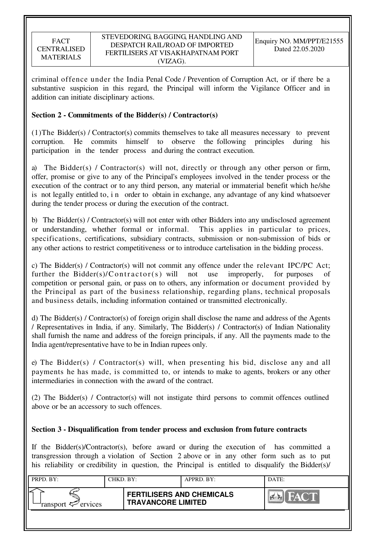criminal offence under the India Penal Code / Prevention of Corruption Act, or if there be a substantive suspicion in this regard, the Principal will inform the Vigilance Officer and in addition can initiate disciplinary actions.

## **Section 2 - Commitments of the Bidder(s) / Contractor(s)**

(1)The Bidder(s) / Contractor(s) commits themselves to take all measures necessary to prevent corruption. He commits himself to observe the following principles during his participation in the tender process and during the contract execution.

a) The Bidder(s) / Contractor(s) will not, directly or through any other person or firm, offer, promise or give to any of the Principal's employees involved in the tender process or the execution of the contract or to any third person, any material or immaterial benefit which he/she is not legally entitled to, i n order to obtain in exchange, any advantage of any kind whatsoever during the tender process or during the execution of the contract.

b) The Bidder(s) / Contractor(s) will not enter with other Bidders into any undisclosed agreement or understanding, whether formal or informal. This applies in particular to prices, specifications, certifications, subsidiary contracts, submission or non-submission of bids or any other actions to restrict competitiveness or to introduce cartelisation in the bidding process.

c) The Bidder(s) / Contractor(s) will not commit any offence under the relevant IPC/PC Act; further the Bidder(s)/Contractor(s) will not use improperly, for purposes of competition or personal gain, or pass on to others, any information or document provided by the Principal as part of the business relationship, regarding plans, technical proposals and business details, including information contained or transmitted electronically.

d) The Bidder(s) / Contractor(s) of foreign origin shall disclose the name and address of the Agents / Representatives in India, if any. Similarly, The Bidder(s) / Contractor(s) of Indian Nationality shall furnish the name and address of the foreign principals, if any. All the payments made to the India agent/representative have to be in Indian rupees only.

e) The Bidder(s) / Contractor(s) will, when presenting his bid, disclose any and all payments he has made, is committed to, or intends to make to agents, brokers or any other intermediaries in connection with the award of the contract.

(2) The Bidder(s) / Contractor(s) will not instigate third persons to commit offences outlined above or be an accessory to such offences.

## **Section 3 - Disqualification from tender process and exclusion from future contracts**

If the Bidder(s)/Contractor(s), before award or during the execution of has committed a transgression through a violation of Section 2 above or in any other form such as to put his reliability or credibility in question, the Principal is entitled to disqualify the Bidder(s)/

| PRPD. BY:                     | CHKD. BY: |                                                               | APPRD. BY: | DATE: |
|-------------------------------|-----------|---------------------------------------------------------------|------------|-------|
| ransport <sup>2</sup> ervices |           | <b>FERTILISERS AND CHEMICALS</b><br><b>TRAVANCORE LIMITED</b> |            |       |
|                               |           |                                                               |            |       |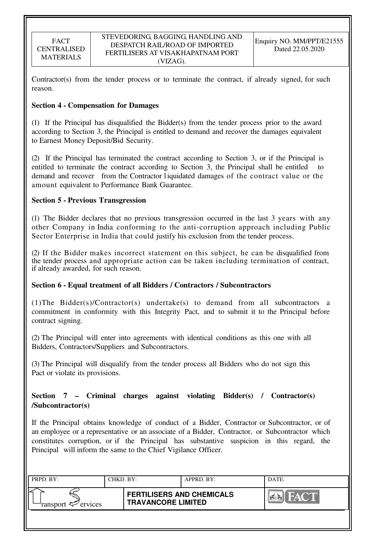Contractor(s) from the tender process or to terminate the contract, if already signed, for such reason.

## **Section 4 - Compensation for Damages**

(1) If the Principal has disqualified the Bidder(s) from the tender process prior to the award according to Section 3, the Principal is entitled to demand and recover the damages equivalent to Earnest Money Deposit/Bid Security.

(2) If the Principal has terminated the contract according to Section 3, or if the Principal is entitled to terminate the contract according to Section 3, the Principal shall be entitled demand and recover from the Contractor l iquidated damages of the contract value or the amount equivalent to Performance Bank Guarantee.

### **Section 5 - Previous Transgression**

(1) The Bidder declares that no previous transgression occurred in the last 3 years with any other Company in India conforming to the anti-corruption approach including Public Sector Enterprise in India that could justify his exclusion from the tender process.

(2) If the Bidder makes incorrect statement on this subject, he can be disqualified from the tender process and appropriate action can be taken including termination of contract, if already awarded, for such reason.

### **Section 6 - Equal treatment of all Bidders / Contractors / Subcontractors**

(1)The Bidder(s)/Contractor(s) undertake(s) to demand from all subcontractors a commitment in conformity with this Integrity Pact, and to submit it to the Principal before contract signing.

(2) The Principal will enter into agreements with identical conditions as this one with all Bidders, Contractors/Suppliers and Subcontractors.

(3) The Principal will disqualify from the tender process all Bidders who do not sign this Pact or violate its provisions.

## **Section 7 – Criminal charges against violating Bidder(s) / Contractor(s) /Subcontractor(s)**

If the Principal obtains knowledge of conduct of a Bidder, Contractor or Subcontractor, or of an employee or a representative or an associate of a Bidder, Contractor, or Subcontractor which constitutes corruption, or if the Principal has substantive suspicion in this regard, the Principal will inform the same to the Chief Vigilance Officer.

| PRPD. BY:                     | CHKD. BY: |                                                               | APPRD. BY: | DATE:                 |
|-------------------------------|-----------|---------------------------------------------------------------|------------|-----------------------|
| ransport <sup>2</sup> ervices |           | <b>FERTILISERS AND CHEMICALS</b><br><b>TRAVANCORE LIMITED</b> |            | <b>FACT</b><br>$\sim$ |
|                               |           |                                                               |            |                       |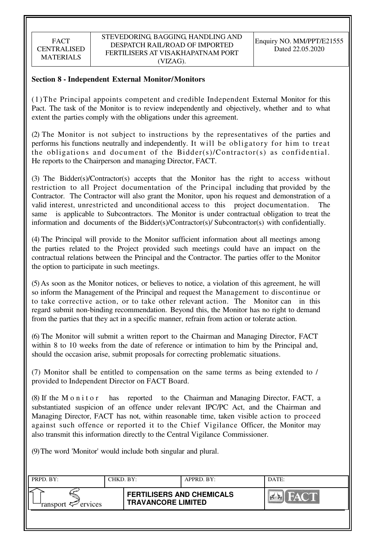## **Section 8 - Independent External Monitor/Monitors**

(1)The Principal appoints competent and credible Independent External Monitor for this Pact. The task of the Monitor is to review independently and objectively, whether and to what extent the parties comply with the obligations under this agreement.

(2) The Monitor is not subject to instructions by the representatives of the parties and performs his functions neutrally and independently. It will be obligatory for him to treat the obligations and document of the Bidder(s)/Contractor(s) as confidential. He reports to the Chairperson and managing Director, FACT.

(3) The Bidder(s)/Contractor(s) accepts that the Monitor has the right to access without restriction to all Project documentation of the Principal including that provided by the Contractor. The Contractor will also grant the Monitor, upon his request and demonstration of a valid interest, unrestricted and unconditional access to this project documentation. The same is applicable to Subcontractors. The Monitor is under contractual obligation to treat the information and documents of the Bidder(s)/Contractor(s)/ Subcontractor(s) with confidentially.

(4) The Principal will provide to the Monitor sufficient information about all meetings among the parties related to the Project provided such meetings could have an impact on the contractual relations between the Principal and the Contractor. The parties offer to the Monitor the option to participate in such meetings.

(5) As soon as the Monitor notices, or believes to notice, a violation of this agreement, he will so inform the Management of the Principal and request the Management to discontinue or to take corrective action, or to take other relevant action. The Monitor can in this regard submit non-binding recommendation. Beyond this, the Monitor has no right to demand from the parties that they act in a specific manner, refrain from action or tolerate action.

(6) The Monitor will submit a written report to the Chairman and Managing Director, FACT within 8 to 10 weeks from the date of reference or intimation to him by the Principal and, should the occasion arise, submit proposals for correcting problematic situations.

(7) Monitor shall be entitled to compensation on the same terms as being extended to / provided to Independent Director on FACT Board.

(8) If the M o n i t o r has reported to the Chairman and Managing Director, FACT, a substantiated suspicion of an offence under relevant IPC/PC Act, and the Chairman and Managing Director, FACT has not, within reasonable time, taken visible action to proceed against such offence or reported it to the Chief Vigilance Officer, the Monitor may also transmit this information directly to the Central Vigilance Commissioner.

(9) The word 'Monitor' would include both singular and plural.

| PRPD. BY:                      | CHKD. BY: |                                                               | APPRD. BY: | DATE: |
|--------------------------------|-----------|---------------------------------------------------------------|------------|-------|
| ransport $\mathcal{P}$ ervices |           | <b>FERTILISERS AND CHEMICALS</b><br><b>TRAVANCORE LIMITED</b> |            | HACT  |
|                                |           |                                                               |            |       |